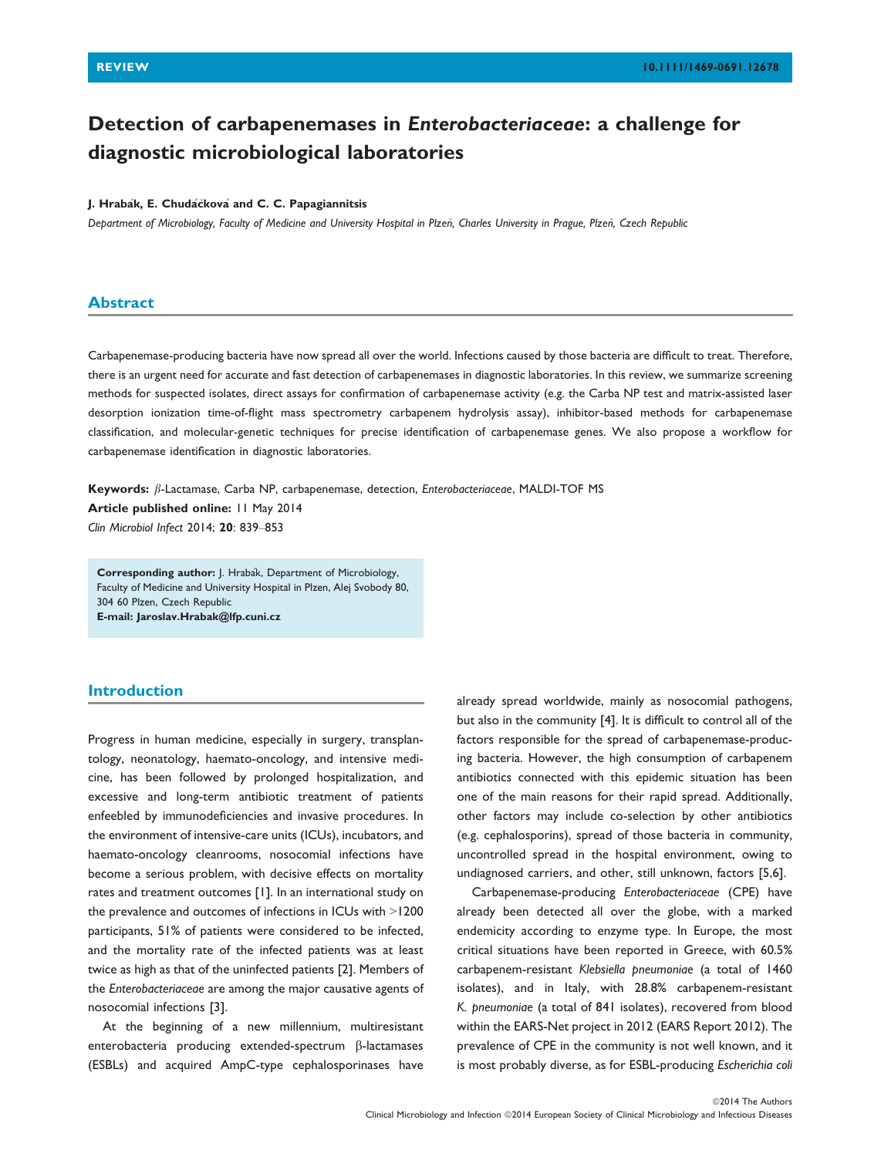# Detection of carbapenemases in Enterobacteriaceae: a challenge for diagnostic microbiological laboratories

## J. Hrabák, E. Chudáčková and C. C. Papagiannitsis

Department of Microbiology, Faculty of Medicine and University Hospital in Plzen, Charles University in Prague, Plzen, Czech Republic

## Abstract

Carbapenemase-producing bacteria have now spread all over the world. Infections caused by those bacteria are difficult to treat. Therefore, there is an urgent need for accurate and fast detection of carbapenemases in diagnostic laboratories. In this review, we summarize screening methods for suspected isolates, direct assays for confirmation of carbapenemase activity (e.g. the Carba NP test and matrix-assisted laser desorption ionization time-of-flight mass spectrometry carbapenem hydrolysis assay), inhibitor-based methods for carbapenemase classification, and molecular-genetic techniques for precise identification of carbapenemase genes. We also propose a workflow for carbapenemase identification in diagnostic laboratories.

Keywords:  $\beta$ -Lactamase, Carba NP, carbapenemase, detection, Enterobacteriaceae, MALDI-TOF MS

Article published online: 11 May 2014 Clin Microbiol Infect 2014; 20: 839–853

Corresponding author: J. Hrabák, Department of Microbiology, Faculty of Medicine and University Hospital in Plzen, Alej Svobody 80, 304 60 Plzen, Czech Republic E-mail: Jaroslav.Hrabak@lfp.cuni.cz

# Introduction

Progress in human medicine, especially in surgery, transplantology, neonatology, haemato-oncology, and intensive medicine, has been followed by prolonged hospitalization, and excessive and long-term antibiotic treatment of patients enfeebled by immunodeficiencies and invasive procedures. In the environment of intensive-care units (ICUs), incubators, and haemato-oncology cleanrooms, nosocomial infections have become a serious problem, with decisive effects on mortality rates and treatment outcomes [1]. In an international study on the prevalence and outcomes of infections in ICUs with >1200 participants, 51% of patients were considered to be infected, and the mortality rate of the infected patients was at least twice as high as that of the uninfected patients [2]. Members of the Enterobacteriaceae are among the major causative agents of nosocomial infections [3].

At the beginning of a new millennium, multiresistant enterobacteria producing extended-spectrum  $\beta$ -lactamases (ESBLs) and acquired AmpC-type cephalosporinases have

already spread worldwide, mainly as nosocomial pathogens, but also in the community [4]. It is difficult to control all of the factors responsible for the spread of carbapenemase-producing bacteria. However, the high consumption of carbapenem antibiotics connected with this epidemic situation has been one of the main reasons for their rapid spread. Additionally, other factors may include co-selection by other antibiotics (e.g. cephalosporins), spread of those bacteria in community, uncontrolled spread in the hospital environment, owing to undiagnosed carriers, and other, still unknown, factors [5,6].

Carbapenemase-producing Enterobacteriaceae (CPE) have already been detected all over the globe, with a marked endemicity according to enzyme type. In Europe, the most critical situations have been reported in Greece, with 60.5% carbapenem-resistant Klebsiella pneumoniae (a total of 1460 isolates), and in Italy, with 28.8% carbapenem-resistant K. pneumoniae (a total of 841 isolates), recovered from blood within the EARS-Net project in 2012 (EARS Report 2012). The prevalence of CPE in the community is not well known, and it is most probably diverse, as for ESBL-producing Escherichia coli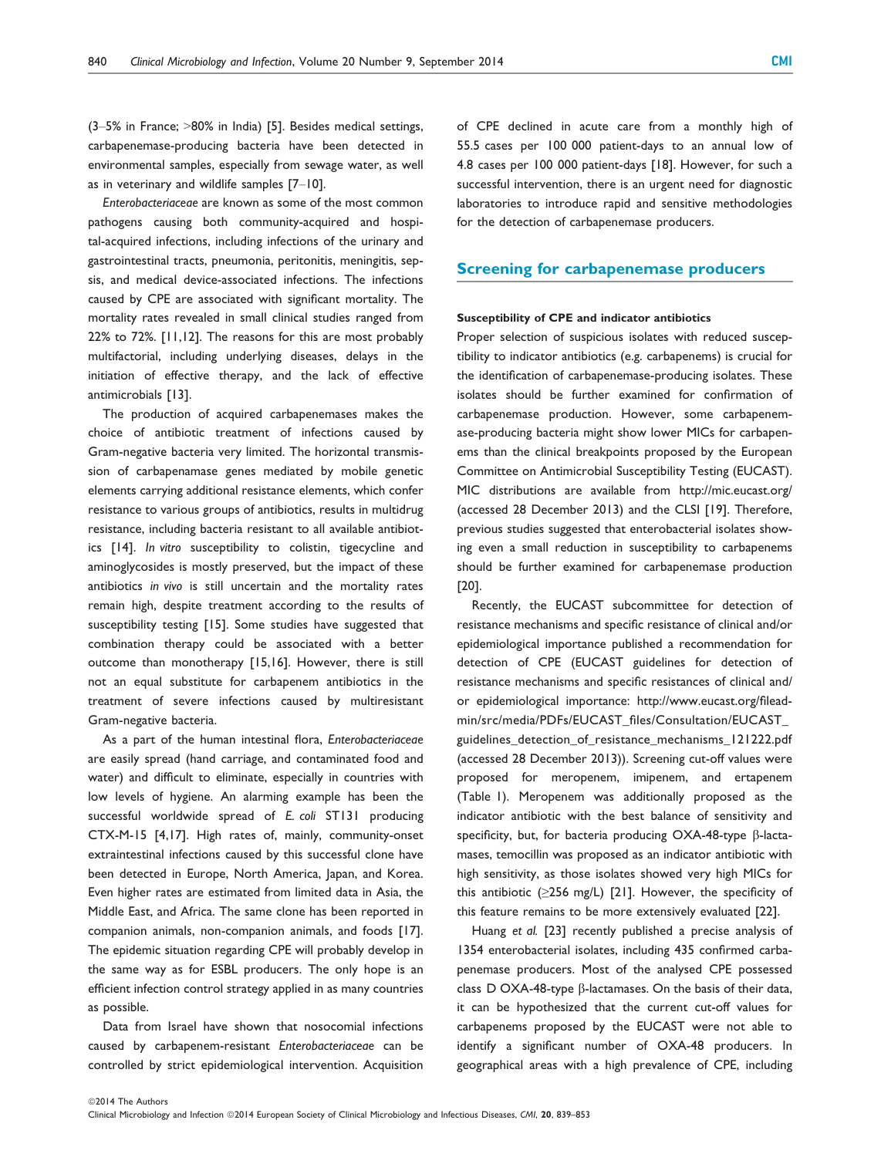(3–5% in France; >80% in India) [5]. Besides medical settings, carbapenemase-producing bacteria have been detected in environmental samples, especially from sewage water, as well as in veterinary and wildlife samples [7–10].

Enterobacteriaceae are known as some of the most common pathogens causing both community-acquired and hospital-acquired infections, including infections of the urinary and gastrointestinal tracts, pneumonia, peritonitis, meningitis, sepsis, and medical device-associated infections. The infections caused by CPE are associated with significant mortality. The mortality rates revealed in small clinical studies ranged from 22% to 72%. [11,12]. The reasons for this are most probably multifactorial, including underlying diseases, delays in the initiation of effective therapy, and the lack of effective antimicrobials [13].

The production of acquired carbapenemases makes the choice of antibiotic treatment of infections caused by Gram-negative bacteria very limited. The horizontal transmission of carbapenamase genes mediated by mobile genetic elements carrying additional resistance elements, which confer resistance to various groups of antibiotics, results in multidrug resistance, including bacteria resistant to all available antibiotics [14]. In vitro susceptibility to colistin, tigecycline and aminoglycosides is mostly preserved, but the impact of these antibiotics in vivo is still uncertain and the mortality rates remain high, despite treatment according to the results of susceptibility testing [15]. Some studies have suggested that combination therapy could be associated with a better outcome than monotherapy [15,16]. However, there is still not an equal substitute for carbapenem antibiotics in the treatment of severe infections caused by multiresistant Gram-negative bacteria.

As a part of the human intestinal flora, Enterobacteriaceae are easily spread (hand carriage, and contaminated food and water) and difficult to eliminate, especially in countries with low levels of hygiene. An alarming example has been the successful worldwide spread of E. coli ST131 producing CTX-M-15 [4,17]. High rates of, mainly, community-onset extraintestinal infections caused by this successful clone have been detected in Europe, North America, Japan, and Korea. Even higher rates are estimated from limited data in Asia, the Middle East, and Africa. The same clone has been reported in companion animals, non-companion animals, and foods [17]. The epidemic situation regarding CPE will probably develop in the same way as for ESBL producers. The only hope is an efficient infection control strategy applied in as many countries as possible.

Data from Israel have shown that nosocomial infections caused by carbapenem-resistant Enterobacteriaceae can be controlled by strict epidemiological intervention. Acquisition

of CPE declined in acute care from a monthly high of 55.5 cases per 100 000 patient-days to an annual low of 4.8 cases per 100 000 patient-days [18]. However, for such a successful intervention, there is an urgent need for diagnostic laboratories to introduce rapid and sensitive methodologies for the detection of carbapenemase producers.

## Screening for carbapenemase producers

#### Susceptibility of CPE and indicator antibiotics

Proper selection of suspicious isolates with reduced susceptibility to indicator antibiotics (e.g. carbapenems) is crucial for the identification of carbapenemase-producing isolates. These isolates should be further examined for confirmation of carbapenemase production. However, some carbapenemase-producing bacteria might show lower MICs for carbapenems than the clinical breakpoints proposed by the European Committee on Antimicrobial Susceptibility Testing (EUCAST). MIC distributions are available from http://mic.eucast.org/ (accessed 28 December 2013) and the CLSI [19]. Therefore, previous studies suggested that enterobacterial isolates showing even a small reduction in susceptibility to carbapenems should be further examined for carbapenemase production [20].

Recently, the EUCAST subcommittee for detection of resistance mechanisms and specific resistance of clinical and/or epidemiological importance published a recommendation for detection of CPE (EUCAST guidelines for detection of resistance mechanisms and specific resistances of clinical and/ or epidemiological importance: http://www.eucast.org/fileadmin/src/media/PDFs/EUCAST\_files/Consultation/EUCAST\_ guidelines\_detection\_of\_resistance\_mechanisms\_121222.pdf (accessed 28 December 2013)). Screening cut-off values were proposed for meropenem, imipenem, and ertapenem (Table 1). Meropenem was additionally proposed as the indicator antibiotic with the best balance of sensitivity and specificity, but, for bacteria producing OXA-48-type  $\beta$ -lactamases, temocillin was proposed as an indicator antibiotic with high sensitivity, as those isolates showed very high MICs for this antibiotic ( $\geq$ 256 mg/L) [21]. However, the specificity of this feature remains to be more extensively evaluated [22].

Huang et al. [23] recently published a precise analysis of 1354 enterobacterial isolates, including 435 confirmed carbapenemase producers. Most of the analysed CPE possessed class D OXA-48-type  $\beta$ -lactamases. On the basis of their data, it can be hypothesized that the current cut-off values for carbapenems proposed by the EUCAST were not able to identify a significant number of OXA-48 producers. In geographical areas with a high prevalence of CPE, including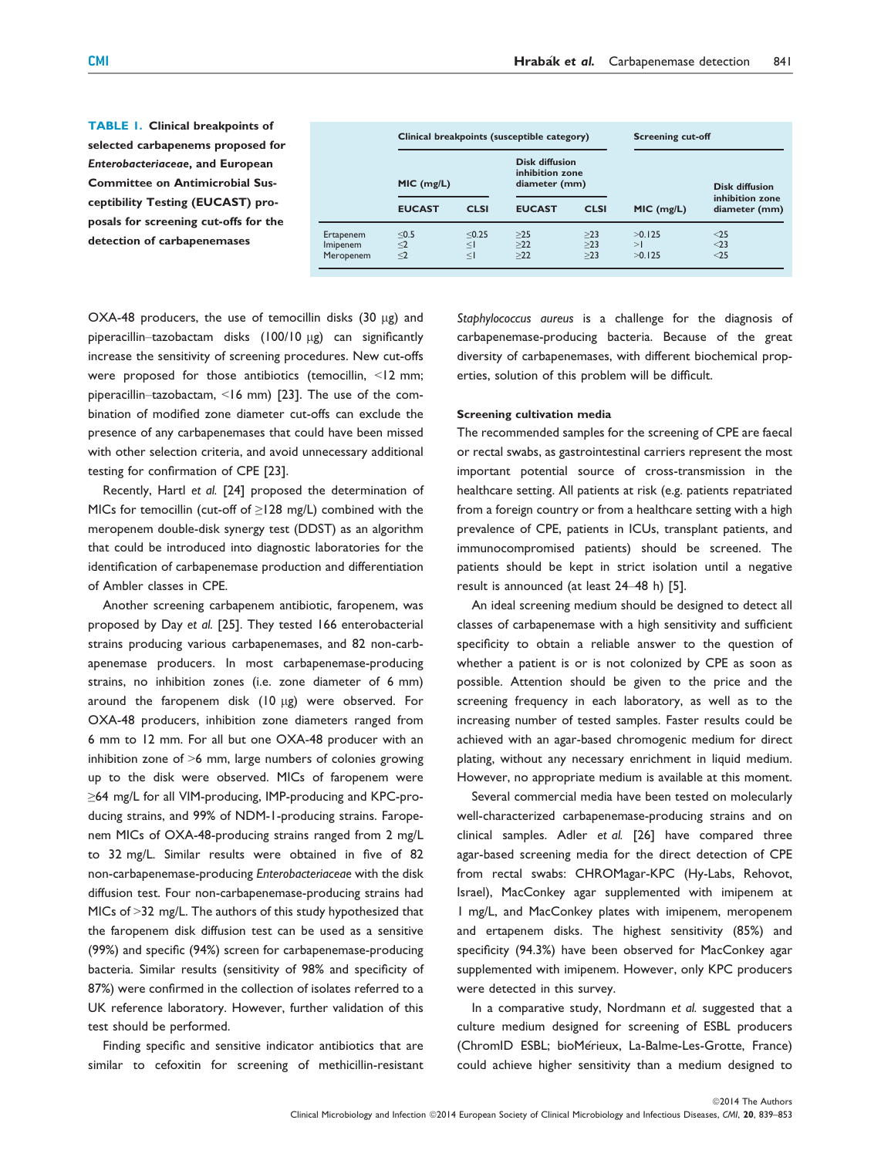TABLE 1. Clinical breakpoints of selected carbapenems proposed for Enterobacteriaceae, and European Committee on Antimicrobial Susceptibility Testing (EUCAST) proposals for screening cut-offs for the detection of carbapenemases

| Clinical breakpoints (susceptible category) |                            |                                                           |                       | <b>Screening cut-off</b> |                                  |
|---------------------------------------------|----------------------------|-----------------------------------------------------------|-----------------------|--------------------------|----------------------------------|
| MIC (mg/L)                                  |                            | <b>Disk diffusion</b><br>inhibition zone<br>diameter (mm) |                       |                          | <b>Disk diffusion</b>            |
| <b>EUCAST</b>                               | <b>CLSI</b>                | <b>EUCAST</b>                                             | <b>CLSI</b>           | MIC (mg/L)               | inhibition zone<br>diameter (mm) |
| < 0.5<br>$\leq$ 2<br>$\leq$ 2               | < 0.25<br>$\leq$<br>$\leq$ | $>25$<br>$>22$<br>>22                                     | >23<br>$>23$<br>$>23$ | >0.125<br>>1<br>>0.125   | $25$<br>$<$ 23<br>$25$           |
|                                             |                            |                                                           |                       |                          |                                  |

OXA-48 producers, the use of temocillin disks  $(30 \mu g)$  and piperacillin–tazobactam disks (100/10 µg) can significantly increase the sensitivity of screening procedures. New cut-offs were proposed for those antibiotics (temocillin, <12 mm; piperacillin–tazobactam, <16 mm) [23]. The use of the combination of modified zone diameter cut-offs can exclude the presence of any carbapenemases that could have been missed with other selection criteria, and avoid unnecessary additional testing for confirmation of CPE [23].

Recently, Hartl et al. [24] proposed the determination of MICs for temocillin (cut-off of ≥128 mg/L) combined with the meropenem double-disk synergy test (DDST) as an algorithm that could be introduced into diagnostic laboratories for the identification of carbapenemase production and differentiation of Ambler classes in CPE.

Another screening carbapenem antibiotic, faropenem, was proposed by Day et al. [25]. They tested 166 enterobacterial strains producing various carbapenemases, and 82 non-carbapenemase producers. In most carbapenemase-producing strains, no inhibition zones (i.e. zone diameter of 6 mm) around the faropenem disk  $(10 \mu g)$  were observed. For OXA-48 producers, inhibition zone diameters ranged from 6 mm to 12 mm. For all but one OXA-48 producer with an inhibition zone of >6 mm, large numbers of colonies growing up to the disk were observed. MICs of faropenem were ≥64 mg/L for all VIM-producing, IMP-producing and KPC-producing strains, and 99% of NDM-1-producing strains. Faropenem MICs of OXA-48-producing strains ranged from 2 mg/L to 32 mg/L. Similar results were obtained in five of 82 non-carbapenemase-producing Enterobacteriaceae with the disk diffusion test. Four non-carbapenemase-producing strains had MICs of >32 mg/L. The authors of this study hypothesized that the faropenem disk diffusion test can be used as a sensitive (99%) and specific (94%) screen for carbapenemase-producing bacteria. Similar results (sensitivity of 98% and specificity of 87%) were confirmed in the collection of isolates referred to a UK reference laboratory. However, further validation of this test should be performed.

Finding specific and sensitive indicator antibiotics that are similar to cefoxitin for screening of methicillin-resistant

Staphylococcus aureus is a challenge for the diagnosis of carbapenemase-producing bacteria. Because of the great diversity of carbapenemases, with different biochemical properties, solution of this problem will be difficult.

## Screening cultivation media

The recommended samples for the screening of CPE are faecal or rectal swabs, as gastrointestinal carriers represent the most important potential source of cross-transmission in the healthcare setting. All patients at risk (e.g. patients repatriated from a foreign country or from a healthcare setting with a high prevalence of CPE, patients in ICUs, transplant patients, and immunocompromised patients) should be screened. The patients should be kept in strict isolation until a negative result is announced (at least 24–48 h) [5].

An ideal screening medium should be designed to detect all classes of carbapenemase with a high sensitivity and sufficient specificity to obtain a reliable answer to the question of whether a patient is or is not colonized by CPE as soon as possible. Attention should be given to the price and the screening frequency in each laboratory, as well as to the increasing number of tested samples. Faster results could be achieved with an agar-based chromogenic medium for direct plating, without any necessary enrichment in liquid medium. However, no appropriate medium is available at this moment.

Several commercial media have been tested on molecularly well-characterized carbapenemase-producing strains and on clinical samples. Adler et al. [26] have compared three agar-based screening media for the direct detection of CPE from rectal swabs: CHROMagar-KPC (Hy-Labs, Rehovot, Israel), MacConkey agar supplemented with imipenem at 1 mg/L, and MacConkey plates with imipenem, meropenem and ertapenem disks. The highest sensitivity (85%) and specificity (94.3%) have been observed for MacConkey agar supplemented with imipenem. However, only KPC producers were detected in this survey.

In a comparative study, Nordmann et al. suggested that a culture medium designed for screening of ESBL producers (ChromID ESBL; bioMérieux, La-Balme-Les-Grotte, France) could achieve higher sensitivity than a medium designed to

©2014 The Authors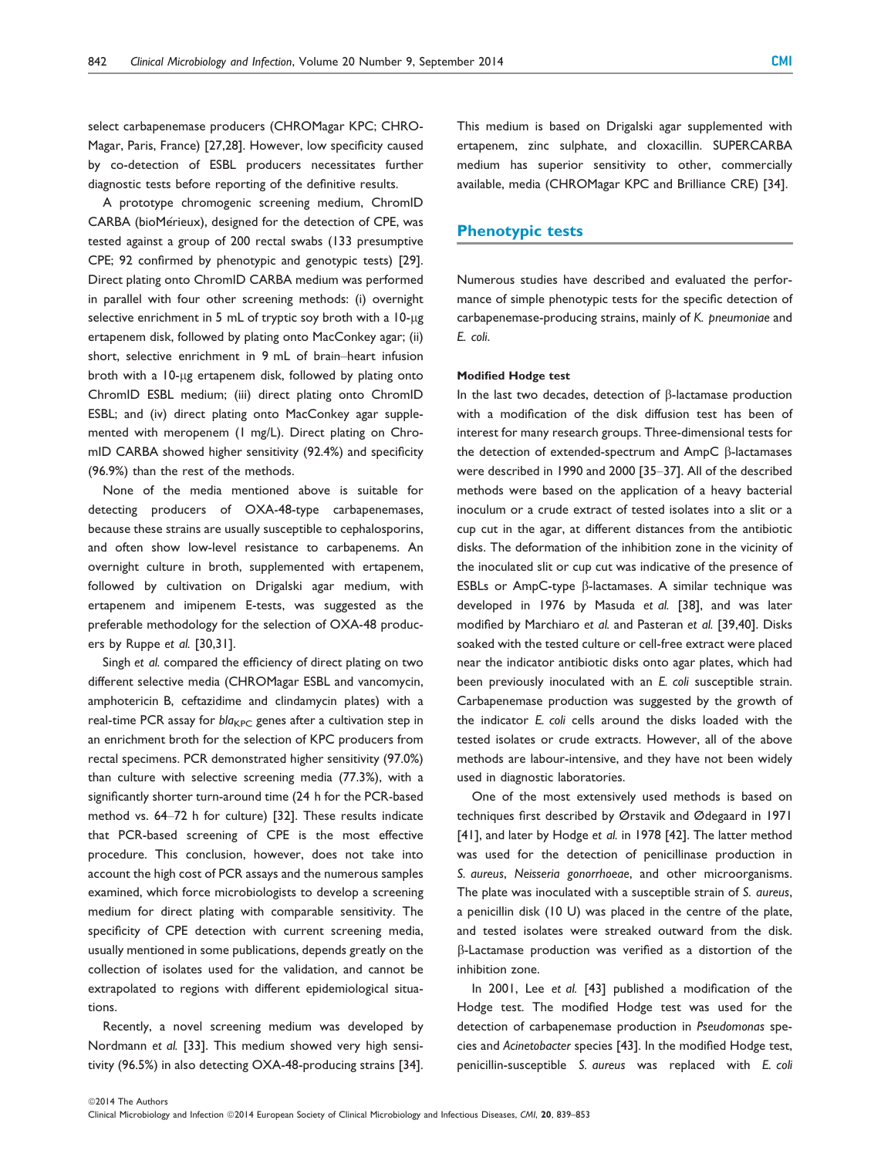select carbapenemase producers (CHROMagar KPC; CHRO-Magar, Paris, France) [27,28]. However, low specificity caused by co-detection of ESBL producers necessitates further diagnostic tests before reporting of the definitive results.

A prototype chromogenic screening medium, ChromID CARBA (bioMérieux), designed for the detection of CPE, was tested against a group of 200 rectal swabs (133 presumptive CPE; 92 confirmed by phenotypic and genotypic tests) [29]. Direct plating onto ChromID CARBA medium was performed in parallel with four other screening methods: (i) overnight selective enrichment in 5 mL of tryptic soy broth with a 10-µg ertapenem disk, followed by plating onto MacConkey agar; (ii) short, selective enrichment in 9 mL of brain–heart infusion broth with a 10-µg ertapenem disk, followed by plating onto ChromID ESBL medium; (iii) direct plating onto ChromID ESBL; and (iv) direct plating onto MacConkey agar supplemented with meropenem (1 mg/L). Direct plating on ChromID CARBA showed higher sensitivity (92.4%) and specificity (96.9%) than the rest of the methods.

None of the media mentioned above is suitable for detecting producers of OXA-48-type carbapenemases, because these strains are usually susceptible to cephalosporins, and often show low-level resistance to carbapenems. An overnight culture in broth, supplemented with ertapenem, followed by cultivation on Drigalski agar medium, with ertapenem and imipenem E-tests, was suggested as the preferable methodology for the selection of OXA-48 producers by Ruppe et al. [30,31].

Singh et al. compared the efficiency of direct plating on two different selective media (CHROMagar ESBL and vancomycin, amphotericin B, ceftazidime and clindamycin plates) with a real-time PCR assay for  $bla_{KPC}$  genes after a cultivation step in an enrichment broth for the selection of KPC producers from rectal specimens. PCR demonstrated higher sensitivity (97.0%) than culture with selective screening media (77.3%), with a significantly shorter turn-around time (24 h for the PCR-based method vs. 64–72 h for culture) [32]. These results indicate that PCR-based screening of CPE is the most effective procedure. This conclusion, however, does not take into account the high cost of PCR assays and the numerous samples examined, which force microbiologists to develop a screening medium for direct plating with comparable sensitivity. The specificity of CPE detection with current screening media, usually mentioned in some publications, depends greatly on the collection of isolates used for the validation, and cannot be extrapolated to regions with different epidemiological situations.

Recently, a novel screening medium was developed by Nordmann et al. [33]. This medium showed very high sensitivity (96.5%) in also detecting OXA-48-producing strains [34].

This medium is based on Drigalski agar supplemented with ertapenem, zinc sulphate, and cloxacillin. SUPERCARBA medium has superior sensitivity to other, commercially available, media (CHROMagar KPC and Brilliance CRE) [34].

# Phenotypic tests

Numerous studies have described and evaluated the performance of simple phenotypic tests for the specific detection of carbapenemase-producing strains, mainly of K. pneumoniae and E. coli.

#### Modified Hodge test

In the last two decades, detection of  $\beta$ -lactamase production with a modification of the disk diffusion test has been of interest for many research groups. Three-dimensional tests for the detection of extended-spectrum and AmpC  $\beta$ -lactamases were described in 1990 and 2000 [35–37]. All of the described methods were based on the application of a heavy bacterial inoculum or a crude extract of tested isolates into a slit or a cup cut in the agar, at different distances from the antibiotic disks. The deformation of the inhibition zone in the vicinity of the inoculated slit or cup cut was indicative of the presence of ESBLs or AmpC-type  $\beta$ -lactamases. A similar technique was developed in 1976 by Masuda et al. [38], and was later modified by Marchiaro et al. and Pasteran et al. [39,40]. Disks soaked with the tested culture or cell-free extract were placed near the indicator antibiotic disks onto agar plates, which had been previously inoculated with an E. coli susceptible strain. Carbapenemase production was suggested by the growth of the indicator E. coli cells around the disks loaded with the tested isolates or crude extracts. However, all of the above methods are labour-intensive, and they have not been widely used in diagnostic laboratories.

One of the most extensively used methods is based on techniques first described by Ørstavik and Ødegaard in 1971 [41], and later by Hodge et al. in 1978 [42]. The latter method was used for the detection of penicillinase production in S. aureus, Neisseria gonorrhoeae, and other microorganisms. The plate was inoculated with a susceptible strain of S. aureus, a penicillin disk (10 U) was placed in the centre of the plate, and tested isolates were streaked outward from the disk. b-Lactamase production was verified as a distortion of the inhibition zone.

In 2001, Lee et al. [43] published a modification of the Hodge test. The modified Hodge test was used for the detection of carbapenemase production in Pseudomonas species and Acinetobacter species [43]. In the modified Hodge test, penicillin-susceptible S. aureus was replaced with E. coli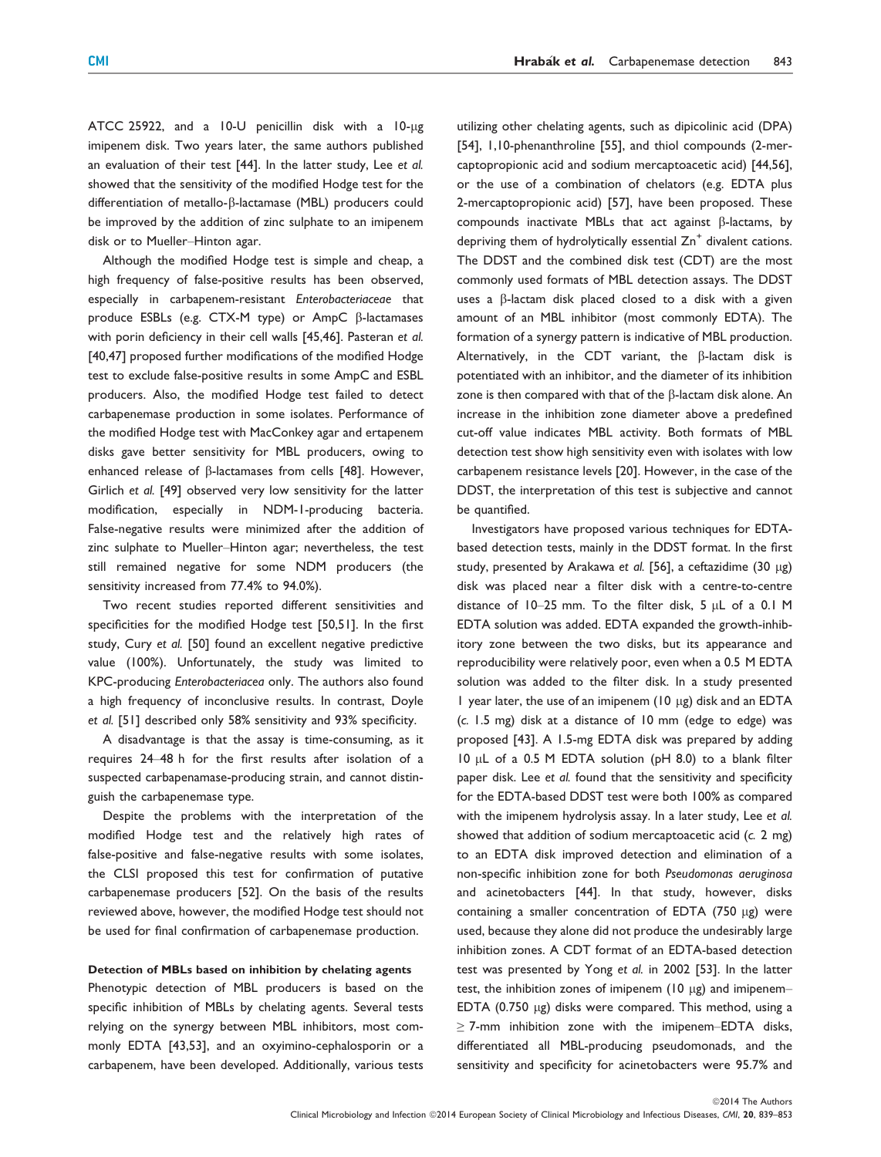ATCC 25922, and a 10-U penicillin disk with a 10-µg imipenem disk. Two years later, the same authors published an evaluation of their test [44]. In the latter study, Lee et al. showed that the sensitivity of the modified Hodge test for the differentiation of metallo- $\beta$ -lactamase (MBL) producers could be improved by the addition of zinc sulphate to an imipenem disk or to Mueller–Hinton agar.

Although the modified Hodge test is simple and cheap, a high frequency of false-positive results has been observed, especially in carbapenem-resistant Enterobacteriaceae that produce ESBLs (e.g. CTX-M type) or  $AmpC$   $\beta$ -lactamases with porin deficiency in their cell walls [45,46]. Pasteran et al. [40,47] proposed further modifications of the modified Hodge test to exclude false-positive results in some AmpC and ESBL producers. Also, the modified Hodge test failed to detect carbapenemase production in some isolates. Performance of the modified Hodge test with MacConkey agar and ertapenem disks gave better sensitivity for MBL producers, owing to enhanced release of  $\beta$ -lactamases from cells [48]. However, Girlich et al. [49] observed very low sensitivity for the latter modification, especially in NDM-1-producing bacteria. False-negative results were minimized after the addition of zinc sulphate to Mueller–Hinton agar; nevertheless, the test still remained negative for some NDM producers (the sensitivity increased from 77.4% to 94.0%).

Two recent studies reported different sensitivities and specificities for the modified Hodge test [50,51]. In the first study, Cury et al. [50] found an excellent negative predictive value (100%). Unfortunately, the study was limited to KPC-producing Enterobacteriacea only. The authors also found a high frequency of inconclusive results. In contrast, Doyle et al. [51] described only 58% sensitivity and 93% specificity.

A disadvantage is that the assay is time-consuming, as it requires 24–48 h for the first results after isolation of a suspected carbapenamase-producing strain, and cannot distinguish the carbapenemase type.

Despite the problems with the interpretation of the modified Hodge test and the relatively high rates of false-positive and false-negative results with some isolates, the CLSI proposed this test for confirmation of putative carbapenemase producers [52]. On the basis of the results reviewed above, however, the modified Hodge test should not be used for final confirmation of carbapenemase production.

#### Detection of MBLs based on inhibition by chelating agents

Phenotypic detection of MBL producers is based on the specific inhibition of MBLs by chelating agents. Several tests relying on the synergy between MBL inhibitors, most commonly EDTA [43,53], and an oxyimino-cephalosporin or a carbapenem, have been developed. Additionally, various tests

utilizing other chelating agents, such as dipicolinic acid (DPA) [54], 1,10-phenanthroline [55], and thiol compounds (2-mercaptopropionic acid and sodium mercaptoacetic acid) [44,56], or the use of a combination of chelators (e.g. EDTA plus 2-mercaptopropionic acid) [57], have been proposed. These compounds inactivate MBLs that act against  $\beta$ -lactams, by depriving them of hydrolytically essential  $Zn^+$  divalent cations. The DDST and the combined disk test (CDT) are the most commonly used formats of MBL detection assays. The DDST uses a  $\beta$ -lactam disk placed closed to a disk with a given amount of an MBL inhibitor (most commonly EDTA). The formation of a synergy pattern is indicative of MBL production. Alternatively, in the CDT variant, the  $\beta$ -lactam disk is potentiated with an inhibitor, and the diameter of its inhibition zone is then compared with that of the  $\beta$ -lactam disk alone. An increase in the inhibition zone diameter above a predefined cut-off value indicates MBL activity. Both formats of MBL detection test show high sensitivity even with isolates with low carbapenem resistance levels [20]. However, in the case of the DDST, the interpretation of this test is subjective and cannot be quantified.

Investigators have proposed various techniques for EDTAbased detection tests, mainly in the DDST format. In the first study, presented by Arakawa et al. [56], a ceftazidime  $(30 \text{ µg})$ disk was placed near a filter disk with a centre-to-centre distance of  $10-25$  mm. To the filter disk,  $5 \mu L$  of a 0.1 M EDTA solution was added. EDTA expanded the growth-inhibitory zone between the two disks, but its appearance and reproducibility were relatively poor, even when a 0.5 M EDTA solution was added to the filter disk. In a study presented 1 year later, the use of an imipenem  $(10 \mu g)$  disk and an EDTA (c. 1.5 mg) disk at a distance of 10 mm (edge to edge) was proposed [43]. A 1.5-mg EDTA disk was prepared by adding  $10 \mu L$  of a 0.5 M EDTA solution (pH 8.0) to a blank filter paper disk. Lee et al. found that the sensitivity and specificity for the EDTA-based DDST test were both 100% as compared with the imipenem hydrolysis assay. In a later study, Lee et al. showed that addition of sodium mercaptoacetic acid (c. 2 mg) to an EDTA disk improved detection and elimination of a non-specific inhibition zone for both Pseudomonas aeruginosa and acinetobacters [44]. In that study, however, disks containing a smaller concentration of EDTA  $(750 \mu g)$  were used, because they alone did not produce the undesirably large inhibition zones. A CDT format of an EDTA-based detection test was presented by Yong et al. in 2002 [53]. In the latter test, the inhibition zones of imipenem (10  $\mu$ g) and imipenem-EDTA (0.750  $\mu$ g) disks were compared. This method, using a  $\geq$  7-mm inhibition zone with the imipenem–EDTA disks, differentiated all MBL-producing pseudomonads, and the sensitivity and specificity for acinetobacters were 95.7% and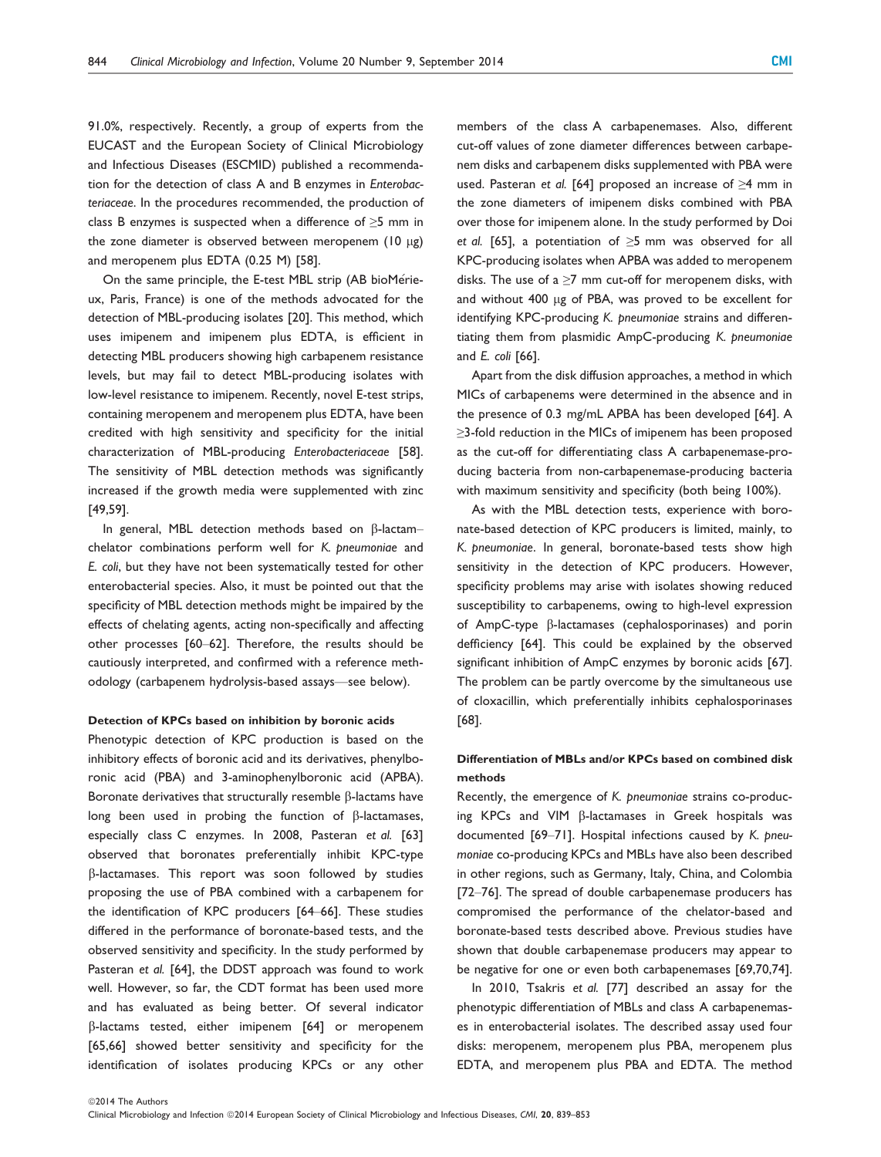91.0%, respectively. Recently, a group of experts from the EUCAST and the European Society of Clinical Microbiology and Infectious Diseases (ESCMID) published a recommendation for the detection of class A and B enzymes in Enterobacteriaceae. In the procedures recommended, the production of class B enzymes is suspected when a difference of  $\geq$ 5 mm in the zone diameter is observed between meropenem ( $10 \mu$ g) and meropenem plus EDTA (0.25 M) [58].

On the same principle, the E-test MBL strip (AB bioMérieux, Paris, France) is one of the methods advocated for the detection of MBL-producing isolates [20]. This method, which uses imipenem and imipenem plus EDTA, is efficient in detecting MBL producers showing high carbapenem resistance levels, but may fail to detect MBL-producing isolates with low-level resistance to imipenem. Recently, novel E-test strips, containing meropenem and meropenem plus EDTA, have been credited with high sensitivity and specificity for the initial characterization of MBL-producing Enterobacteriaceae [58]. The sensitivity of MBL detection methods was significantly increased if the growth media were supplemented with zinc [49,59].

In general, MBL detection methods based on  $\beta$ -lactamchelator combinations perform well for K. pneumoniae and E. coli, but they have not been systematically tested for other enterobacterial species. Also, it must be pointed out that the specificity of MBL detection methods might be impaired by the effects of chelating agents, acting non-specifically and affecting other processes [60–62]. Therefore, the results should be cautiously interpreted, and confirmed with a reference methodology (carbapenem hydrolysis-based assays—see below).

#### Detection of KPCs based on inhibition by boronic acids

Phenotypic detection of KPC production is based on the inhibitory effects of boronic acid and its derivatives, phenylboronic acid (PBA) and 3-aminophenylboronic acid (APBA). Boronate derivatives that structurally resemble  $\beta$ -lactams have long been used in probing the function of  $\beta$ -lactamases, especially class C enzymes. In 2008, Pasteran et al. [63] observed that boronates preferentially inhibit KPC-type  $\beta$ -lactamases. This report was soon followed by studies proposing the use of PBA combined with a carbapenem for the identification of KPC producers [64–66]. These studies differed in the performance of boronate-based tests, and the observed sensitivity and specificity. In the study performed by Pasteran et al. [64], the DDST approach was found to work well. However, so far, the CDT format has been used more and has evaluated as being better. Of several indicator b-lactams tested, either imipenem [64] or meropenem [65,66] showed better sensitivity and specificity for the identification of isolates producing KPCs or any other

members of the class A carbapenemases. Also, different cut-off values of zone diameter differences between carbapenem disks and carbapenem disks supplemented with PBA were used. Pasteran et al. [64] proposed an increase of ≥4 mm in the zone diameters of imipenem disks combined with PBA over those for imipenem alone. In the study performed by Doi et al. [65], a potentiation of  $\geq$ 5 mm was observed for all KPC-producing isolates when APBA was added to meropenem disks. The use of a  $\geq$ 7 mm cut-off for meropenem disks, with and without 400 µg of PBA, was proved to be excellent for identifying KPC-producing K. pneumoniae strains and differentiating them from plasmidic AmpC-producing K. pneumoniae and E. coli [66].

Apart from the disk diffusion approaches, a method in which MICs of carbapenems were determined in the absence and in the presence of 0.3 mg/mL APBA has been developed [64]. A ≥3-fold reduction in the MICs of imipenem has been proposed as the cut-off for differentiating class A carbapenemase-producing bacteria from non-carbapenemase-producing bacteria with maximum sensitivity and specificity (both being 100%).

As with the MBL detection tests, experience with boronate-based detection of KPC producers is limited, mainly, to K. pneumoniae. In general, boronate-based tests show high sensitivity in the detection of KPC producers. However, specificity problems may arise with isolates showing reduced susceptibility to carbapenems, owing to high-level expression of AmpC-type b-lactamases (cephalosporinases) and porin defficiency [64]. This could be explained by the observed significant inhibition of AmpC enzymes by boronic acids [67]. The problem can be partly overcome by the simultaneous use of cloxacillin, which preferentially inhibits cephalosporinases [68].

## Differentiation of MBLs and/or KPCs based on combined disk methods

Recently, the emergence of K. pneumoniae strains co-producing KPCs and VIM  $\beta$ -lactamases in Greek hospitals was documented [69–71]. Hospital infections caused by K. pneumoniae co-producing KPCs and MBLs have also been described in other regions, such as Germany, Italy, China, and Colombia [72–76]. The spread of double carbapenemase producers has compromised the performance of the chelator-based and boronate-based tests described above. Previous studies have shown that double carbapenemase producers may appear to be negative for one or even both carbapenemases [69,70,74].

In 2010, Tsakris et al. [77] described an assay for the phenotypic differentiation of MBLs and class A carbapenemases in enterobacterial isolates. The described assay used four disks: meropenem, meropenem plus PBA, meropenem plus EDTA, and meropenem plus PBA and EDTA. The method

Clinical Microbiology and Infection ©2014 European Society of Clinical Microbiology and Infectious Diseases, CMI, 20, 839-853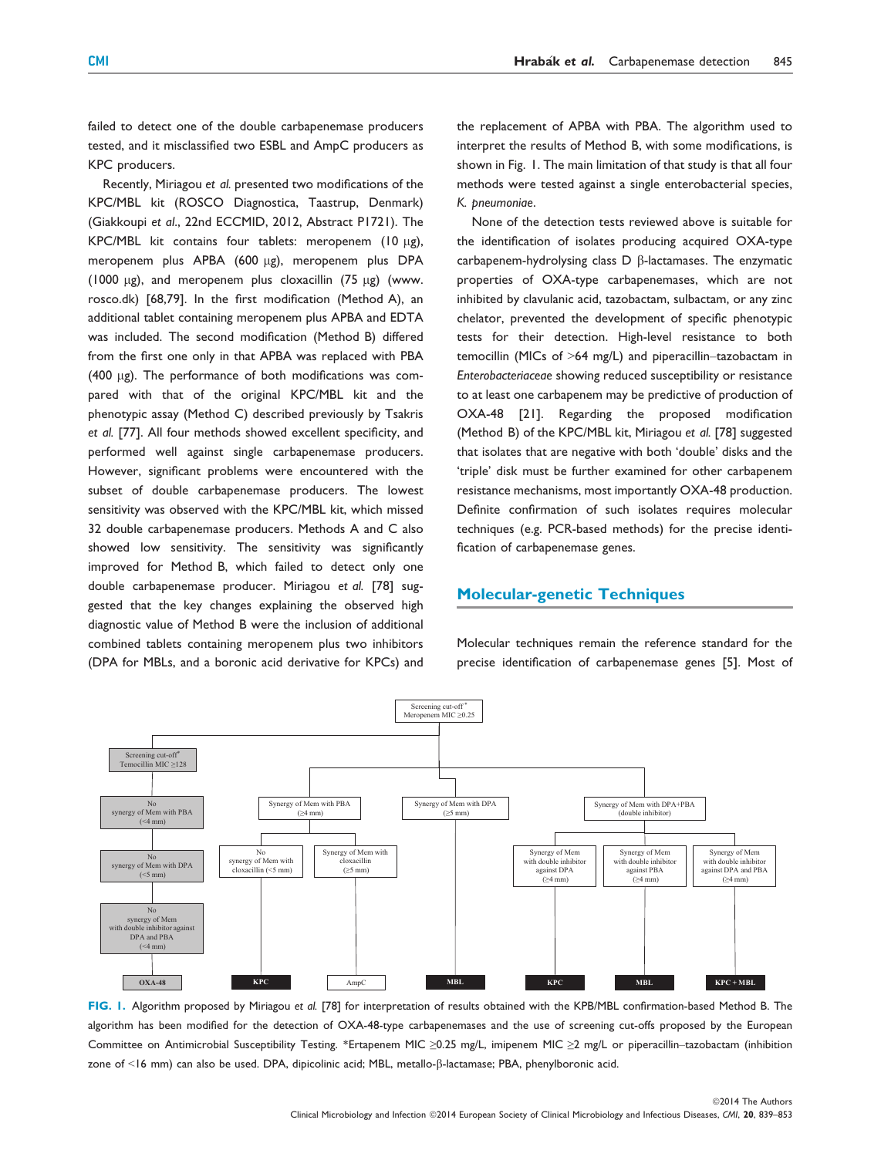failed to detect one of the double carbapenemase producers tested, and it misclassified two ESBL and AmpC producers as KPC producers.

Recently, Miriagou et al. presented two modifications of the KPC/MBL kit (ROSCO Diagnostica, Taastrup, Denmark) (Giakkoupi et al., 22nd ECCMID, 2012, Abstract P1721). The KPC/MBL kit contains four tablets: meropenem (10  $\mu$ g), meropenem plus APBA (600 µg), meropenem plus DPA (1000  $\mu$ g), and meropenem plus cloxacillin (75  $\mu$ g) (www. rosco.dk) [68,79]. In the first modification (Method A), an additional tablet containing meropenem plus APBA and EDTA was included. The second modification (Method B) differed from the first one only in that APBA was replaced with PBA (400  $\mu$ g). The performance of both modifications was compared with that of the original KPC/MBL kit and the phenotypic assay (Method C) described previously by Tsakris et al. [77]. All four methods showed excellent specificity, and performed well against single carbapenemase producers. However, significant problems were encountered with the subset of double carbapenemase producers. The lowest sensitivity was observed with the KPC/MBL kit, which missed 32 double carbapenemase producers. Methods A and C also showed low sensitivity. The sensitivity was significantly improved for Method B, which failed to detect only one double carbapenemase producer. Miriagou et al. [78] suggested that the key changes explaining the observed high diagnostic value of Method B were the inclusion of additional combined tablets containing meropenem plus two inhibitors (DPA for MBLs, and a boronic acid derivative for KPCs) and

the replacement of APBA with PBA. The algorithm used to interpret the results of Method B, with some modifications, is shown in Fig. 1. The main limitation of that study is that all four methods were tested against a single enterobacterial species, K. pneumoniae.

None of the detection tests reviewed above is suitable for the identification of isolates producing acquired OXA-type  $carbapenem-hydrolysing$  class  $D$   $\beta$ -lactamases. The enzymatic properties of OXA-type carbapenemases, which are not inhibited by clavulanic acid, tazobactam, sulbactam, or any zinc chelator, prevented the development of specific phenotypic tests for their detection. High-level resistance to both temocillin (MICs of >64 mg/L) and piperacillin–tazobactam in Enterobacteriaceae showing reduced susceptibility or resistance to at least one carbapenem may be predictive of production of OXA-48 [21]. Regarding the proposed modification (Method B) of the KPC/MBL kit, Miriagou et al. [78] suggested that isolates that are negative with both 'double' disks and the 'triple' disk must be further examined for other carbapenem resistance mechanisms, most importantly OXA-48 production. Definite confirmation of such isolates requires molecular techniques (e.g. PCR-based methods) for the precise identification of carbapenemase genes.

# Molecular-genetic Techniques

Molecular techniques remain the reference standard for the precise identification of carbapenemase genes [5]. Most of



FIG. 1. Algorithm proposed by Miriagou et al. [78] for interpretation of results obtained with the KPB/MBL confirmation-based Method B. The algorithm has been modified for the detection of OXA-48-type carbapenemases and the use of screening cut-offs proposed by the European Committee on Antimicrobial Susceptibility Testing. \*Ertapenem MIC ≥0.25 mg/L, imipenem MIC ≥2 mg/L or piperacillin–tazobactam (inhibition zone of <16 mm) can also be used. DPA, dipicolinic acid; MBL, metallo-b-lactamase; PBA, phenylboronic acid.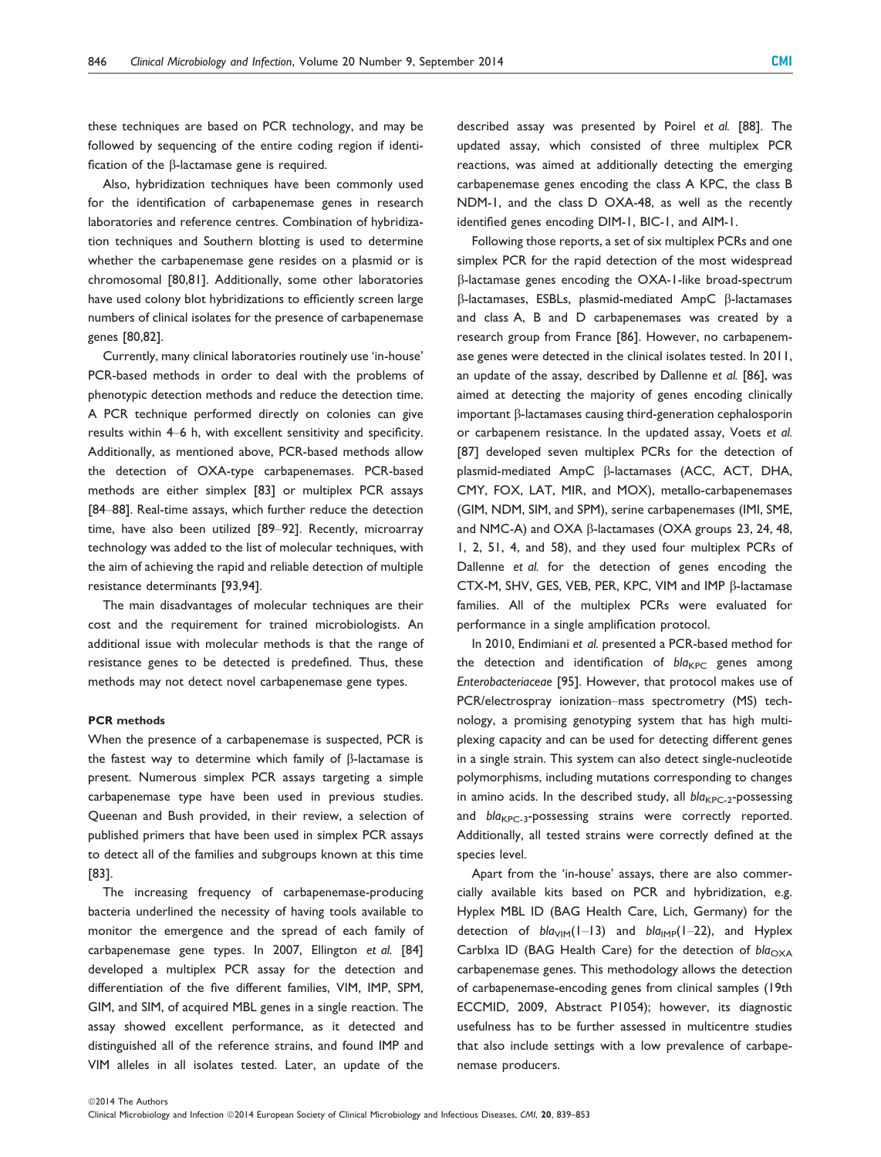these techniques are based on PCR technology, and may be followed by sequencing of the entire coding region if identification of the  $\beta$ -lactamase gene is required.

Also, hybridization techniques have been commonly used for the identification of carbapenemase genes in research laboratories and reference centres. Combination of hybridization techniques and Southern blotting is used to determine whether the carbapenemase gene resides on a plasmid or is chromosomal [80,81]. Additionally, some other laboratories have used colony blot hybridizations to efficiently screen large numbers of clinical isolates for the presence of carbapenemase genes [80,82].

Currently, many clinical laboratories routinely use 'in-house' PCR-based methods in order to deal with the problems of phenotypic detection methods and reduce the detection time. A PCR technique performed directly on colonies can give results within 4–6 h, with excellent sensitivity and specificity. Additionally, as mentioned above, PCR-based methods allow the detection of OXA-type carbapenemases. PCR-based methods are either simplex [83] or multiplex PCR assays [84–88]. Real-time assays, which further reduce the detection time, have also been utilized [89–92]. Recently, microarray technology was added to the list of molecular techniques, with the aim of achieving the rapid and reliable detection of multiple resistance determinants [93,94].

The main disadvantages of molecular techniques are their cost and the requirement for trained microbiologists. An additional issue with molecular methods is that the range of resistance genes to be detected is predefined. Thus, these methods may not detect novel carbapenemase gene types.

#### PCR methods

When the presence of a carbapenemase is suspected, PCR is the fastest way to determine which family of  $\beta$ -lactamase is present. Numerous simplex PCR assays targeting a simple carbapenemase type have been used in previous studies. Queenan and Bush provided, in their review, a selection of published primers that have been used in simplex PCR assays to detect all of the families and subgroups known at this time [83].

The increasing frequency of carbapenemase-producing bacteria underlined the necessity of having tools available to monitor the emergence and the spread of each family of carbapenemase gene types. In 2007, Ellington et al. [84] developed a multiplex PCR assay for the detection and differentiation of the five different families, VIM, IMP, SPM, GIM, and SIM, of acquired MBL genes in a single reaction. The assay showed excellent performance, as it detected and distinguished all of the reference strains, and found IMP and VIM alleles in all isolates tested. Later, an update of the

described assay was presented by Poirel et al. [88]. The updated assay, which consisted of three multiplex PCR reactions, was aimed at additionally detecting the emerging carbapenemase genes encoding the class A KPC, the class B NDM-1, and the class D OXA-48, as well as the recently identified genes encoding DIM-1, BIC-1, and AIM-1.

Following those reports, a set of six multiplex PCRs and one simplex PCR for the rapid detection of the most widespread b-lactamase genes encoding the OXA-1-like broad-spectrum  $\beta$ -lactamases, ESBLs, plasmid-mediated AmpC  $\beta$ -lactamases and class A, B and D carbapenemases was created by a research group from France [86]. However, no carbapenemase genes were detected in the clinical isolates tested. In 2011, an update of the assay, described by Dallenne et al. [86], was aimed at detecting the majority of genes encoding clinically important  $\beta$ -lactamases causing third-generation cephalosporin or carbapenem resistance. In the updated assay, Voets et al. [87] developed seven multiplex PCRs for the detection of plasmid-mediated AmpC  $\beta$ -lactamases (ACC, ACT, DHA, CMY, FOX, LAT, MIR, and MOX), metallo-carbapenemases (GIM, NDM, SIM, and SPM), serine carbapenemases (IMI, SME, and NMC-A) and OXA B-lactamases (OXA groups 23, 24, 48, 1, 2, 51, 4, and 58), and they used four multiplex PCRs of Dallenne et al. for the detection of genes encoding the CTX-M, SHV, GES, VEB, PER, KPC, VIM and IMP  $\beta$ -lactamase families. All of the multiplex PCRs were evaluated for performance in a single amplification protocol.

In 2010, Endimiani et al. presented a PCR-based method for the detection and identification of  $bla_{KPC}$  genes among Enterobacteriaceae [95]. However, that protocol makes use of PCR/electrospray ionization–mass spectrometry (MS) technology, a promising genotyping system that has high multiplexing capacity and can be used for detecting different genes in a single strain. This system can also detect single-nucleotide polymorphisms, including mutations corresponding to changes in amino acids. In the described study, all  $bla_{KPC-2}$ -possessing and  $bla_{KPC-3}$ -possessing strains were correctly reported. Additionally, all tested strains were correctly defined at the species level.

Apart from the 'in-house' assays, there are also commercially available kits based on PCR and hybridization, e.g. Hyplex MBL ID (BAG Health Care, Lich, Germany) for the detection of  $bla_{VIM}(1-13)$  and  $bla_{IMP}(1-22)$ , and Hyplex CarbIxa ID (BAG Health Care) for the detection of  $bla_{\text{OXA}}$ carbapenemase genes. This methodology allows the detection of carbapenemase-encoding genes from clinical samples (19th ECCMID, 2009, Abstract P1054); however, its diagnostic usefulness has to be further assessed in multicentre studies that also include settings with a low prevalence of carbapenemase producers.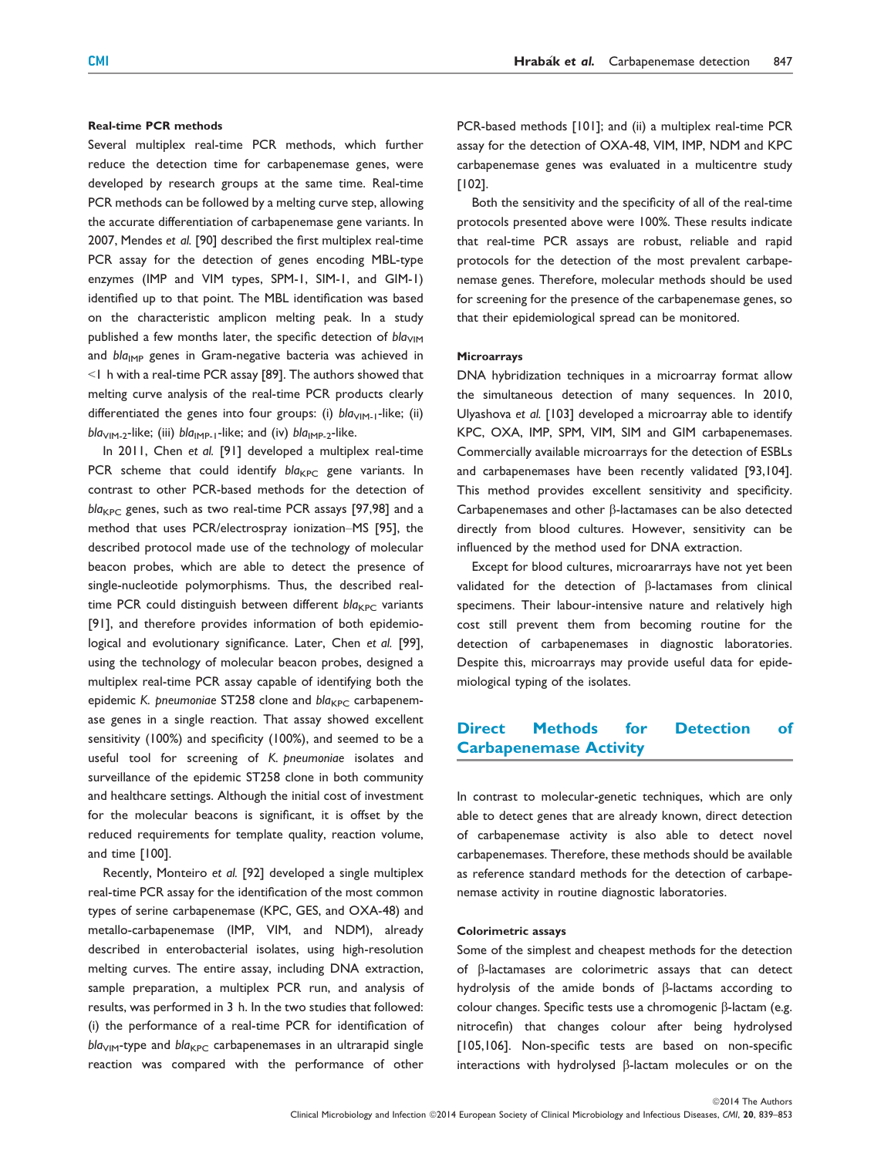## Real-time PCR methods

Several multiplex real-time PCR methods, which further reduce the detection time for carbapenemase genes, were developed by research groups at the same time. Real-time PCR methods can be followed by a melting curve step, allowing the accurate differentiation of carbapenemase gene variants. In 2007, Mendes et al. [90] described the first multiplex real-time PCR assay for the detection of genes encoding MBL-type enzymes (IMP and VIM types, SPM-1, SIM-1, and GIM-1) identified up to that point. The MBL identification was based on the characteristic amplicon melting peak. In a study published a few months later, the specific detection of  $bla<sub>VIM</sub>$ and  $bla_{\text{IMP}}$  genes in Gram-negative bacteria was achieved in <1 h with a real-time PCR assay [89]. The authors showed that melting curve analysis of the real-time PCR products clearly differentiated the genes into four groups: (i)  $bla<sub>VIM-1</sub>$ -like; (ii)  $bla<sub>VIM-2</sub>$ -like; (iii)  $bla<sub>IMPL-1</sub>$ -like; and (iv)  $bla<sub>IMPL-2</sub>$ -like.

In 2011, Chen et al. [91] developed a multiplex real-time PCR scheme that could identify  $bla_{KPC}$  gene variants. In contrast to other PCR-based methods for the detection of  $bla_{KPC}$  genes, such as two real-time PCR assays [97,98] and a method that uses PCR/electrospray ionization–MS [95], the described protocol made use of the technology of molecular beacon probes, which are able to detect the presence of single-nucleotide polymorphisms. Thus, the described realtime PCR could distinguish between different  $bla_{KPC}$  variants [91], and therefore provides information of both epidemiological and evolutionary significance. Later, Chen et al. [99], using the technology of molecular beacon probes, designed a multiplex real-time PCR assay capable of identifying both the epidemic K. pneumoniae ST258 clone and  $bla_{KPC}$  carbapenemase genes in a single reaction. That assay showed excellent sensitivity (100%) and specificity (100%), and seemed to be a useful tool for screening of K. pneumoniae isolates and surveillance of the epidemic ST258 clone in both community and healthcare settings. Although the initial cost of investment for the molecular beacons is significant, it is offset by the reduced requirements for template quality, reaction volume, and time [100].

Recently, Monteiro et al. [92] developed a single multiplex real-time PCR assay for the identification of the most common types of serine carbapenemase (KPC, GES, and OXA-48) and metallo-carbapenemase (IMP, VIM, and NDM), already described in enterobacterial isolates, using high-resolution melting curves. The entire assay, including DNA extraction, sample preparation, a multiplex PCR run, and analysis of results, was performed in 3 h. In the two studies that followed: (i) the performance of a real-time PCR for identification of  $bla<sub>VIM</sub>$ -type and  $bla<sub>KPC</sub>$  carbapenemases in an ultrarapid single reaction was compared with the performance of other

PCR-based methods [101]; and (ii) a multiplex real-time PCR assay for the detection of OXA-48, VIM, IMP, NDM and KPC carbapenemase genes was evaluated in a multicentre study [102].

Both the sensitivity and the specificity of all of the real-time protocols presented above were 100%. These results indicate that real-time PCR assays are robust, reliable and rapid protocols for the detection of the most prevalent carbapenemase genes. Therefore, molecular methods should be used for screening for the presence of the carbapenemase genes, so that their epidemiological spread can be monitored.

# Microarrays

DNA hybridization techniques in a microarray format allow the simultaneous detection of many sequences. In 2010, Ulyashova et al. [103] developed a microarray able to identify KPC, OXA, IMP, SPM, VIM, SIM and GIM carbapenemases. Commercially available microarrays for the detection of ESBLs and carbapenemases have been recently validated [93,104]. This method provides excellent sensitivity and specificity. Carbapenemases and other  $\beta$ -lactamases can be also detected directly from blood cultures. However, sensitivity can be influenced by the method used for DNA extraction.

Except for blood cultures, microararrays have not yet been validated for the detection of  $\beta$ -lactamases from clinical specimens. Their labour-intensive nature and relatively high cost still prevent them from becoming routine for the detection of carbapenemases in diagnostic laboratories. Despite this, microarrays may provide useful data for epidemiological typing of the isolates.

# Direct Methods for Detection of Carbapenemase Activity

In contrast to molecular-genetic techniques, which are only able to detect genes that are already known, direct detection of carbapenemase activity is also able to detect novel carbapenemases. Therefore, these methods should be available as reference standard methods for the detection of carbapenemase activity in routine diagnostic laboratories.

#### Colorimetric assays

Some of the simplest and cheapest methods for the detection of b-lactamases are colorimetric assays that can detect hydrolysis of the amide bonds of  $\beta$ -lactams according to colour changes. Specific tests use a chromogenic  $\beta$ -lactam (e.g. nitrocefin) that changes colour after being hydrolysed [105,106]. Non-specific tests are based on non-specific interactions with hydrolysed  $\beta$ -lactam molecules or on the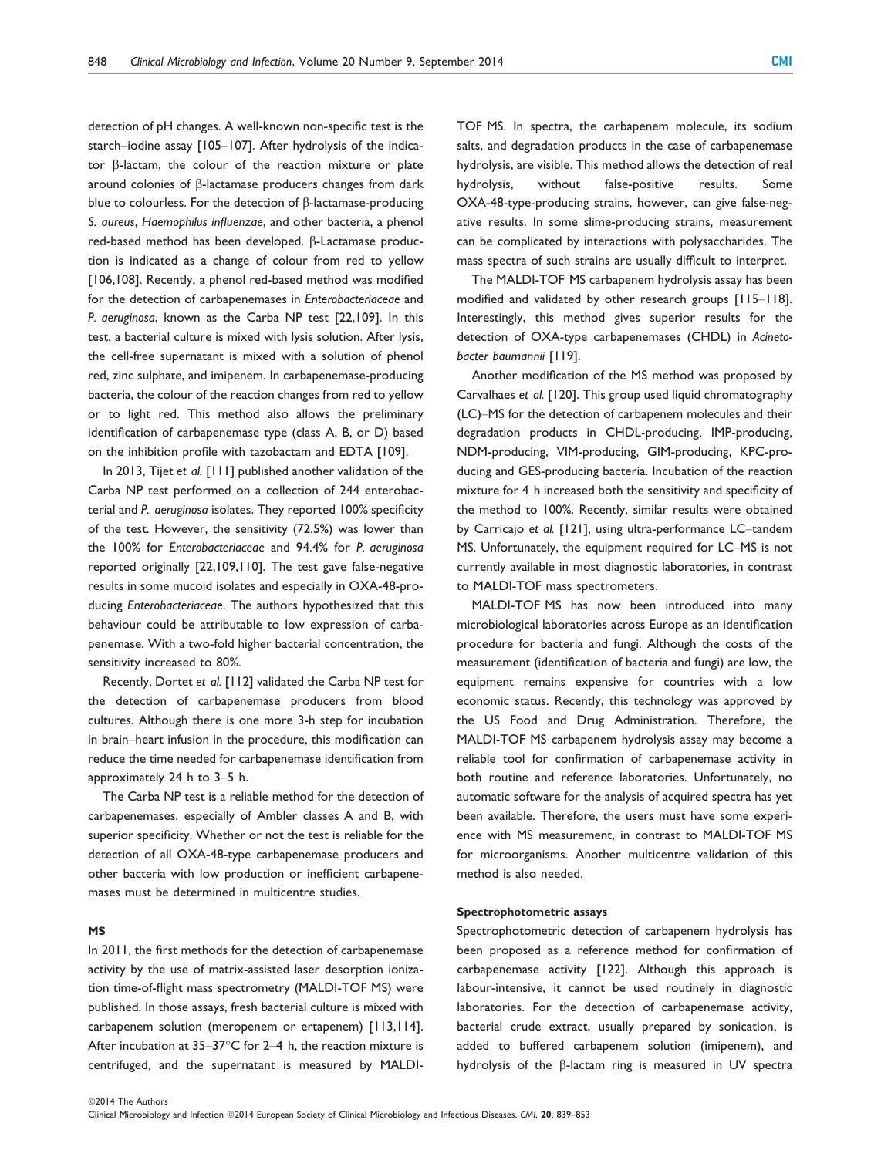detection of pH changes. A well-known non-specific test is the starch–iodine assay [105–107]. After hydrolysis of the indicator  $\beta$ -lactam, the colour of the reaction mixture or plate around colonies of  $\beta$ -lactamase producers changes from dark blue to colourless. For the detection of  $\beta$ -lactamase-producing S. aureus, Haemophilus influenzae, and other bacteria, a phenol red-based method has been developed. β-Lactamase production is indicated as a change of colour from red to yellow [106,108]. Recently, a phenol red-based method was modified for the detection of carbapenemases in Enterobacteriaceae and P. aeruginosa, known as the Carba NP test [22,109]. In this test, a bacterial culture is mixed with lysis solution. After lysis, the cell-free supernatant is mixed with a solution of phenol red, zinc sulphate, and imipenem. In carbapenemase-producing bacteria, the colour of the reaction changes from red to yellow or to light red. This method also allows the preliminary identification of carbapenemase type (class A, B, or D) based on the inhibition profile with tazobactam and EDTA [109].

In 2013, Tijet et al. [111] published another validation of the Carba NP test performed on a collection of 244 enterobacterial and P. aeruginosa isolates. They reported 100% specificity of the test. However, the sensitivity (72.5%) was lower than the 100% for Enterobacteriaceae and 94.4% for P. aeruginosa reported originally [22,109,110]. The test gave false-negative results in some mucoid isolates and especially in OXA-48-producing Enterobacteriaceae. The authors hypothesized that this behaviour could be attributable to low expression of carbapenemase. With a two-fold higher bacterial concentration, the sensitivity increased to 80%.

Recently, Dortet et al. [112] validated the Carba NP test for the detection of carbapenemase producers from blood cultures. Although there is one more 3-h step for incubation in brain–heart infusion in the procedure, this modification can reduce the time needed for carbapenemase identification from approximately 24 h to 3–5 h.

The Carba NP test is a reliable method for the detection of carbapenemases, especially of Ambler classes A and B, with superior specificity. Whether or not the test is reliable for the detection of all OXA-48-type carbapenemase producers and other bacteria with low production or inefficient carbapenemases must be determined in multicentre studies.

#### MS

In 2011, the first methods for the detection of carbapenemase activity by the use of matrix-assisted laser desorption ionization time-of-flight mass spectrometry (MALDI-TOF MS) were published. In those assays, fresh bacterial culture is mixed with carbapenem solution (meropenem or ertapenem) [113,114]. After incubation at 35–37°C for 2–4 h, the reaction mixture is centrifuged, and the supernatant is measured by MALDI-

TOF MS. In spectra, the carbapenem molecule, its sodium salts, and degradation products in the case of carbapenemase hydrolysis, are visible. This method allows the detection of real hydrolysis, without false-positive results. Some OXA-48-type-producing strains, however, can give false-negative results. In some slime-producing strains, measurement can be complicated by interactions with polysaccharides. The mass spectra of such strains are usually difficult to interpret.

The MALDI-TOF MS carbapenem hydrolysis assay has been modified and validated by other research groups [115–118]. Interestingly, this method gives superior results for the detection of OXA-type carbapenemases (CHDL) in Acinetobacter baumannii [119].

Another modification of the MS method was proposed by Carvalhaes et al. [120]. This group used liquid chromatography (LC)–MS for the detection of carbapenem molecules and their degradation products in CHDL-producing, IMP-producing, NDM-producing, VIM-producing, GIM-producing, KPC-producing and GES-producing bacteria. Incubation of the reaction mixture for 4 h increased both the sensitivity and specificity of the method to 100%. Recently, similar results were obtained by Carricajo et al. [121], using ultra-performance LC–tandem MS. Unfortunately, the equipment required for LC–MS is not currently available in most diagnostic laboratories, in contrast to MALDI-TOF mass spectrometers.

MALDI-TOF MS has now been introduced into many microbiological laboratories across Europe as an identification procedure for bacteria and fungi. Although the costs of the measurement (identification of bacteria and fungi) are low, the equipment remains expensive for countries with a low economic status. Recently, this technology was approved by the US Food and Drug Administration. Therefore, the MALDI-TOF MS carbapenem hydrolysis assay may become a reliable tool for confirmation of carbapenemase activity in both routine and reference laboratories. Unfortunately, no automatic software for the analysis of acquired spectra has yet been available. Therefore, the users must have some experience with MS measurement, in contrast to MALDI-TOF MS for microorganisms. Another multicentre validation of this method is also needed.

#### Spectrophotometric assays

Spectrophotometric detection of carbapenem hydrolysis has been proposed as a reference method for confirmation of carbapenemase activity [122]. Although this approach is labour-intensive, it cannot be used routinely in diagnostic laboratories. For the detection of carbapenemase activity, bacterial crude extract, usually prepared by sonication, is added to buffered carbapenem solution (imipenem), and hydrolysis of the  $\beta$ -lactam ring is measured in UV spectra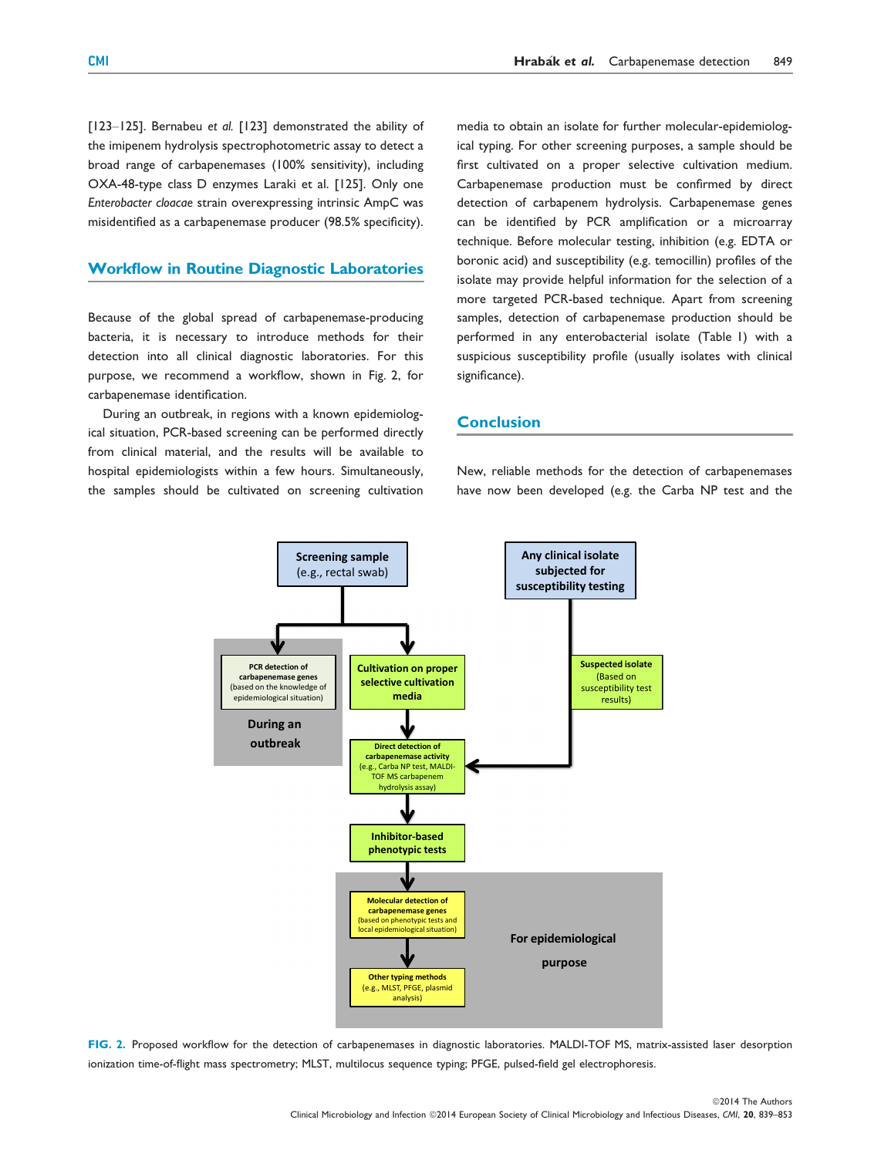[123-125]. Bernabeu et al. [123] demonstrated the ability of the imipenem hydrolysis spectrophotometric assay to detect a broad range of carbapenemases (100% sensitivity), including OXA-48-type class D enzymes Laraki et al. [125]. Only one Enterobacter cloacae strain overexpressing intrinsic AmpC was misidentified as a carbapenemase producer (98.5% specificity).

# Workflow in Routine Diagnostic Laboratories

Because of the global spread of carbapenemase-producing bacteria, it is necessary to introduce methods for their detection into all clinical diagnostic laboratories. For this purpose, we recommend a workflow, shown in Fig. 2, for carbapenemase identification.

During an outbreak, in regions with a known epidemiological situation, PCR-based screening can be performed directly from clinical material, and the results will be available to hospital epidemiologists within a few hours. Simultaneously, the samples should be cultivated on screening cultivation

media to obtain an isolate for further molecular-epidemiological typing. For other screening purposes, a sample should be first cultivated on a proper selective cultivation medium. Carbapenemase production must be confirmed by direct detection of carbapenem hydrolysis. Carbapenemase genes can be identified by PCR amplification or a microarray technique. Before molecular testing, inhibition (e.g. EDTA or boronic acid) and susceptibility (e.g. temocillin) profiles of the isolate may provide helpful information for the selection of a more targeted PCR-based technique. Apart from screening samples, detection of carbapenemase production should be performed in any enterobacterial isolate (Table 1) with a suspicious susceptibility profile (usually isolates with clinical significance).

## **Conclusion**

New, reliable methods for the detection of carbapenemases have now been developed (e.g. the Carba NP test and the



FIG. 2. Proposed workflow for the detection of carbapenemases in diagnostic laboratories. MALDI-TOF MS, matrix-assisted laser desorption ionization time-of-flight mass spectrometry; MLST, multilocus sequence typing; PFGE, pulsed-field gel electrophoresis.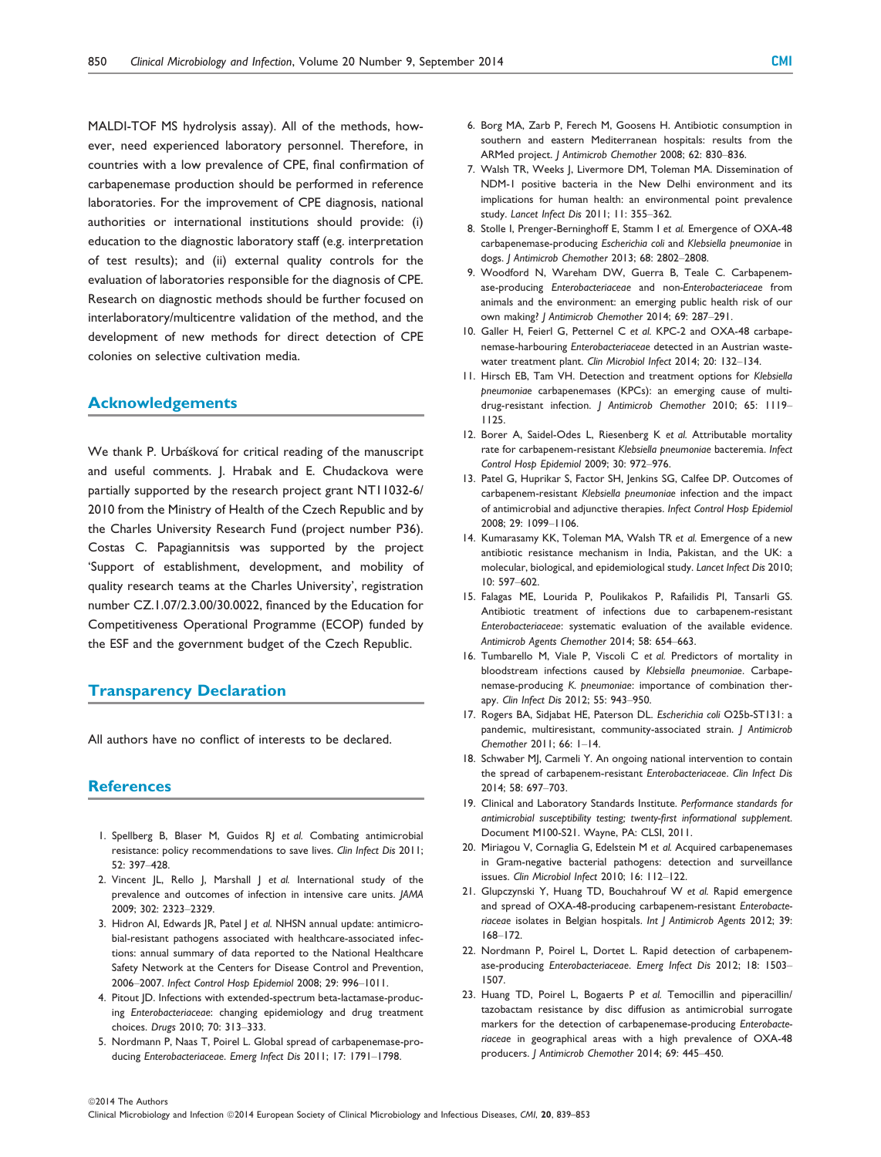MALDI-TOF MS hydrolysis assay). All of the methods, however, need experienced laboratory personnel. Therefore, in countries with a low prevalence of CPE, final confirmation of carbapenemase production should be performed in reference laboratories. For the improvement of CPE diagnosis, national authorities or international institutions should provide: (i) education to the diagnostic laboratory staff (e.g. interpretation of test results); and (ii) external quality controls for the evaluation of laboratories responsible for the diagnosis of CPE. Research on diagnostic methods should be further focused on interlaboratory/multicentre validation of the method, and the development of new methods for direct detection of CPE colonies on selective cultivation media.

#### Acknowledgements

We thank P. Urbaskova for critical reading of the manuscript and useful comments. J. Hrabak and E. Chudackova were partially supported by the research project grant NT11032-6/ 2010 from the Ministry of Health of the Czech Republic and by the Charles University Research Fund (project number P36). Costas C. Papagiannitsis was supported by the project 'Support of establishment, development, and mobility of quality research teams at the Charles University', registration number CZ.1.07/2.3.00/30.0022, financed by the Education for Competitiveness Operational Programme (ECOP) funded by the ESF and the government budget of the Czech Republic.

## Transparency Declaration

All authors have no conflict of interests to be declared.

## **References**

©2014 The Authors

- 1. Spellberg B, Blaser M, Guidos RJ et al. Combating antimicrobial resistance: policy recommendations to save lives. Clin Infect Dis 2011; 52: 397–428.
- 2. Vincent JL, Rello J, Marshall J et al. International study of the prevalence and outcomes of infection in intensive care units. JAMA 2009; 302: 2323–2329.
- 3. Hidron AI, Edwards JR, Patel J et al. NHSN annual update: antimicrobial-resistant pathogens associated with healthcare-associated infections: annual summary of data reported to the National Healthcare Safety Network at the Centers for Disease Control and Prevention, 2006–2007. Infect Control Hosp Epidemiol 2008; 29: 996–1011.
- 4. Pitout JD. Infections with extended-spectrum beta-lactamase-producing Enterobacteriaceae: changing epidemiology and drug treatment choices. Drugs 2010; 70: 313–333.
- 5. Nordmann P, Naas T, Poirel L. Global spread of carbapenemase-producing Enterobacteriaceae. Emerg Infect Dis 2011; 17: 1791–1798.
- 6. Borg MA, Zarb P, Ferech M, Goosens H. Antibiotic consumption in southern and eastern Mediterranean hospitals: results from the ARMed project. J Antimicrob Chemother 2008; 62: 830–836.
- 7. Walsh TR, Weeks J, Livermore DM, Toleman MA. Dissemination of NDM-1 positive bacteria in the New Delhi environment and its implications for human health: an environmental point prevalence study. Lancet Infect Dis 2011; 11: 355–362.
- 8. Stolle I, Prenger-Berninghoff E, Stamm I et al. Emergence of OXA-48 carbapenemase-producing Escherichia coli and Klebsiella pneumoniae in dogs. J Antimicrob Chemother 2013; 68: 2802–2808.
- 9. Woodford N, Wareham DW, Guerra B, Teale C. Carbapenemase-producing Enterobacteriaceae and non-Enterobacteriaceae from animals and the environment: an emerging public health risk of our own making? J Antimicrob Chemother 2014; 69: 287–291.
- 10. Galler H, Feierl G, Petternel C et al. KPC-2 and OXA-48 carbapenemase-harbouring Enterobacteriaceae detected in an Austrian wastewater treatment plant. Clin Microbiol Infect 2014; 20: 132–134.
- 11. Hirsch EB, Tam VH. Detection and treatment options for Klebsiella pneumoniae carbapenemases (KPCs): an emerging cause of multidrug-resistant infection. J Antimicrob Chemother 2010; 65: 1119– 1125.
- 12. Borer A, Saidel-Odes L, Riesenberg K et al. Attributable mortality rate for carbapenem-resistant Klebsiella pneumoniae bacteremia. Infect Control Hosp Epidemiol 2009; 30: 972–976.
- 13. Patel G, Huprikar S, Factor SH, Jenkins SG, Calfee DP. Outcomes of carbapenem-resistant Klebsiella pneumoniae infection and the impact of antimicrobial and adjunctive therapies. Infect Control Hosp Epidemiol 2008; 29: 1099–1106.
- 14. Kumarasamy KK, Toleman MA, Walsh TR et al. Emergence of a new antibiotic resistance mechanism in India, Pakistan, and the UK: a molecular, biological, and epidemiological study. Lancet Infect Dis 2010; 10: 597–602.
- 15. Falagas ME, Lourida P, Poulikakos P, Rafailidis PI, Tansarli GS. Antibiotic treatment of infections due to carbapenem-resistant Enterobacteriaceae: systematic evaluation of the available evidence. Antimicrob Agents Chemother 2014; 58: 654–663.
- 16. Tumbarello M, Viale P, Viscoli C et al. Predictors of mortality in bloodstream infections caused by Klebsiella pneumoniae. Carbapenemase-producing K. pneumoniae: importance of combination therapy. Clin Infect Dis 2012; 55: 943–950.
- 17. Rogers BA, Sidjabat HE, Paterson DL. Escherichia coli O25b-ST131: a pandemic, multiresistant, community-associated strain. *| Antimicrob* Chemother 2011; 66: 1–14.
- 18. Schwaber MJ, Carmeli Y. An ongoing national intervention to contain the spread of carbapenem-resistant Enterobacteriaceae. Clin Infect Dis 2014; 58: 697–703.
- 19. Clinical and Laboratory Standards Institute. Performance standards for antimicrobial susceptibility testing; twenty-first informational supplement. Document M100-S21. Wayne, PA: CLSI, 2011.
- 20. Miriagou V, Cornaglia G, Edelstein M et al. Acquired carbapenemases in Gram-negative bacterial pathogens: detection and surveillance issues. Clin Microbiol Infect 2010; 16: 112–122.
- 21. Glupczynski Y, Huang TD, Bouchahrouf W et al. Rapid emergence and spread of OXA-48-producing carbapenem-resistant Enterobacteriaceae isolates in Belgian hospitals. Int J Antimicrob Agents 2012; 39: 168–172.
- 22. Nordmann P, Poirel L, Dortet L. Rapid detection of carbapenemase-producing Enterobacteriaceae. Emerg Infect Dis 2012; 18: 1503– 1507.
- 23. Huang TD, Poirel L, Bogaerts P et al. Temocillin and piperacillin/ tazobactam resistance by disc diffusion as antimicrobial surrogate markers for the detection of carbapenemase-producing Enterobacteriaceae in geographical areas with a high prevalence of OXA-48 producers. J Antimicrob Chemother 2014; 69: 445–450.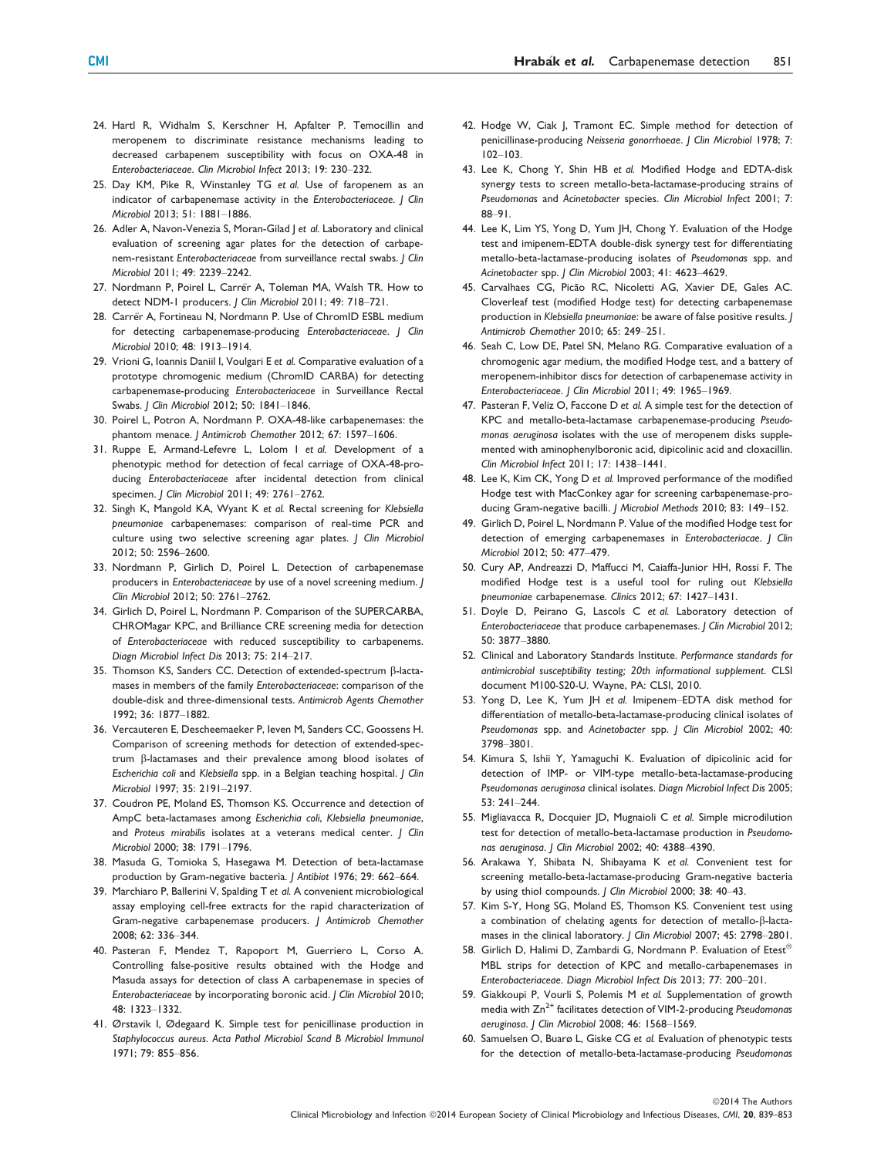- 24. Hartl R, Widhalm S, Kerschner H, Apfalter P. Temocillin and meropenem to discriminate resistance mechanisms leading to decreased carbapenem susceptibility with focus on OXA-48 in Enterobacteriaceae. Clin Microbiol Infect 2013; 19: 230–232.
- 25. Day KM, Pike R, Winstanley TG et al. Use of faropenem as an indicator of carbapenemase activity in the Enterobacteriaceae. J Clin Microbiol 2013; 51: 1881–1886.
- 26. Adler A, Navon-Venezia S, Moran-Gilad J et al. Laboratory and clinical evaluation of screening agar plates for the detection of carbapenem-resistant Enterobacteriaceae from surveillance rectal swabs. J Clin Microbiol 2011; 49: 2239–2242.
- 27. Nordmann P, Poirel L, Carrër A, Toleman MA, Walsh TR. How to detect NDM-1 producers. J Clin Microbiol 2011; 49: 718-721.
- 28. Carrër A, Fortineau N, Nordmann P. Use of ChromID ESBL medium for detecting carbapenemase-producing Enterobacteriaceae. J Clin Microbiol 2010; 48: 1913–1914.
- 29. Vrioni G, Ioannis Daniil I, Voulgari E et al. Comparative evaluation of a prototype chromogenic medium (ChromID CARBA) for detecting carbapenemase-producing Enterobacteriaceae in Surveillance Rectal Swabs. J Clin Microbiol 2012; 50: 1841–1846.
- 30. Poirel L, Potron A, Nordmann P. OXA-48-like carbapenemases: the phantom menace. J Antimicrob Chemother 2012; 67: 1597–1606.
- 31. Ruppe E, Armand-Lefevre L, Lolom I et al. Development of a phenotypic method for detection of fecal carriage of OXA-48-producing Enterobacteriaceae after incidental detection from clinical specimen. J Clin Microbiol 2011; 49: 2761–2762.
- 32. Singh K, Mangold KA, Wyant K et al. Rectal screening for Klebsiella pneumoniae carbapenemases: comparison of real-time PCR and culture using two selective screening agar plates. J Clin Microbiol 2012; 50: 2596–2600.
- 33. Nordmann P, Girlich D, Poirel L. Detection of carbapenemase producers in Enterobacteriaceae by use of a novel screening medium. J Clin Microbiol 2012; 50: 2761–2762.
- 34. Girlich D, Poirel L, Nordmann P. Comparison of the SUPERCARBA, CHROMagar KPC, and Brilliance CRE screening media for detection of Enterobacteriaceae with reduced susceptibility to carbapenems. Diagn Microbiol Infect Dis 2013; 75: 214–217.
- 35. Thomson KS, Sanders CC. Detection of extended-spectrum ß-lactamases in members of the family Enterobacteriaceae: comparison of the double-disk and three-dimensional tests. Antimicrob Agents Chemother 1992; 36: 1877–1882.
- 36. Vercauteren E, Descheemaeker P, Ieven M, Sanders CC, Goossens H. Comparison of screening methods for detection of extended-spectrum ß-lactamases and their prevalence among blood isolates of Escherichia coli and Klebsiella spp. in a Belgian teaching hospital. J Clin Microbiol 1997; 35: 2191–2197.
- 37. Coudron PE, Moland ES, Thomson KS. Occurrence and detection of AmpC beta-lactamases among Escherichia coli, Klebsiella pneumoniae, and Proteus mirabilis isolates at a veterans medical center. | Clin Microbiol 2000; 38: 1791–1796.
- 38. Masuda G, Tomioka S, Hasegawa M. Detection of beta-lactamase production by Gram-negative bacteria. J Antibiot 1976; 29: 662–664.
- 39. Marchiaro P, Ballerini V, Spalding T et al. A convenient microbiological assay employing cell-free extracts for the rapid characterization of Gram-negative carbapenemase producers. J Antimicrob Chemother 2008; 62: 336–344.
- 40. Pasteran F, Mendez T, Rapoport M, Guerriero L, Corso A. Controlling false-positive results obtained with the Hodge and Masuda assays for detection of class A carbapenemase in species of Enterobacteriaceae by incorporating boronic acid. J Clin Microbiol 2010; 48: 1323–1332.
- 41. Ørstavik I, Ødegaard K. Simple test for penicillinase production in Staphylococcus aureus. Acta Pathol Microbiol Scand B Microbiol Immunol 1971; 79: 855–856.
- 42. Hodge W, Ciak J, Tramont EC. Simple method for detection of penicillinase-producing Neisseria gonorrhoeae. J Clin Microbiol 1978; 7: 102–103.
- 43. Lee K, Chong Y, Shin HB et al. Modified Hodge and EDTA-disk synergy tests to screen metallo-beta-lactamase-producing strains of Pseudomonas and Acinetobacter species. Clin Microbiol Infect 2001; 7: 88–91.
- 44. Lee K, Lim YS, Yong D, Yum JH, Chong Y. Evaluation of the Hodge test and imipenem-EDTA double-disk synergy test for differentiating metallo-beta-lactamase-producing isolates of Pseudomonas spp. and Acinetobacter spp. J Clin Microbiol 2003; 41: 4623–4629.
- 45. Carvalhaes CG, Picão RC, Nicoletti AG, Xavier DE, Gales AC. Cloverleaf test (modified Hodge test) for detecting carbapenemase production in Klebsiella pneumoniae: be aware of false positive results. J Antimicrob Chemother 2010; 65: 249–251.
- 46. Seah C, Low DE, Patel SN, Melano RG. Comparative evaluation of a chromogenic agar medium, the modified Hodge test, and a battery of meropenem-inhibitor discs for detection of carbapenemase activity in Enterobacteriaceae. J Clin Microbiol 2011; 49: 1965–1969.
- 47. Pasteran F, Veliz O, Faccone D et al. A simple test for the detection of KPC and metallo-beta-lactamase carbapenemase-producing Pseudomonas aeruginosa isolates with the use of meropenem disks supplemented with aminophenylboronic acid, dipicolinic acid and cloxacillin. Clin Microbiol Infect 2011; 17: 1438–1441.
- 48. Lee K, Kim CK, Yong D et al. Improved performance of the modified Hodge test with MacConkey agar for screening carbapenemase-producing Gram-negative bacilli. *J Microbiol Methods* 2010; 83: 149-152.
- 49. Girlich D, Poirel L, Nordmann P. Value of the modified Hodge test for detection of emerging carbapenemases in Enterobacteriacae. J Clin Microbiol 2012; 50: 477–479.
- 50. Cury AP, Andreazzi D, Maffucci M, Caiaffa-Junior HH, Rossi F. The modified Hodge test is a useful tool for ruling out Klebsiella pneumoniae carbapenemase. Clinics 2012; 67: 1427–1431.
- 51. Doyle D, Peirano G, Lascols C et al. Laboratory detection of Enterobacteriaceae that produce carbapenemases. J Clin Microbiol 2012; 50: 3877–3880.
- 52. Clinical and Laboratory Standards Institute. Performance standards for antimicrobial susceptibility testing; 20th informational supplement. CLSI document M100-S20-U. Wayne, PA: CLSI, 2010.
- 53. Yong D, Lee K, Yum JH et al. Imipenem–EDTA disk method for differentiation of metallo-beta-lactamase-producing clinical isolates of Pseudomonas spp. and Acinetobacter spp. J Clin Microbiol 2002; 40: 3798–3801.
- 54. Kimura S, Ishii Y, Yamaguchi K. Evaluation of dipicolinic acid for detection of IMP- or VIM-type metallo-beta-lactamase-producing Pseudomonas aeruginosa clinical isolates. Diagn Microbiol Infect Dis 2005; 53: 241–244.
- 55. Migliavacca R, Docquier JD, Mugnaioli C et al. Simple microdilution test for detection of metallo-beta-lactamase production in Pseudomonas aeruginosa. J Clin Microbiol 2002; 40: 4388–4390.
- 56. Arakawa Y, Shibata N, Shibayama K et al. Convenient test for screening metallo-beta-lactamase-producing Gram-negative bacteria by using thiol compounds. J Clin Microbiol 2000; 38: 40–43.
- 57. Kim S-Y, Hong SG, Moland ES, Thomson KS. Convenient test using a combination of chelating agents for detection of metallo- $\beta$ -lactamases in the clinical laboratory. J Clin Microbiol 2007; 45: 2798-2801.
- 58. Girlich D, Halimi D, Zambardi G, Nordmann P. Evaluation of Etest<sup>®</sup> MBL strips for detection of KPC and metallo-carbapenemases in Enterobacteriaceae. Diagn Microbiol Infect Dis 2013; 77: 200–201.
- 59. Giakkoupi P, Vourli S, Polemis M et al. Supplementation of growth media with  $Zn^{2+}$  facilitates detection of VIM-2-producing Pseudomonas aeruginosa. J Clin Microbiol 2008; 46: 1568–1569.
- 60. Samuelsen O, Buarø L, Giske CG et al. Evaluation of phenotypic tests for the detection of metallo-beta-lactamase-producing Pseudomonas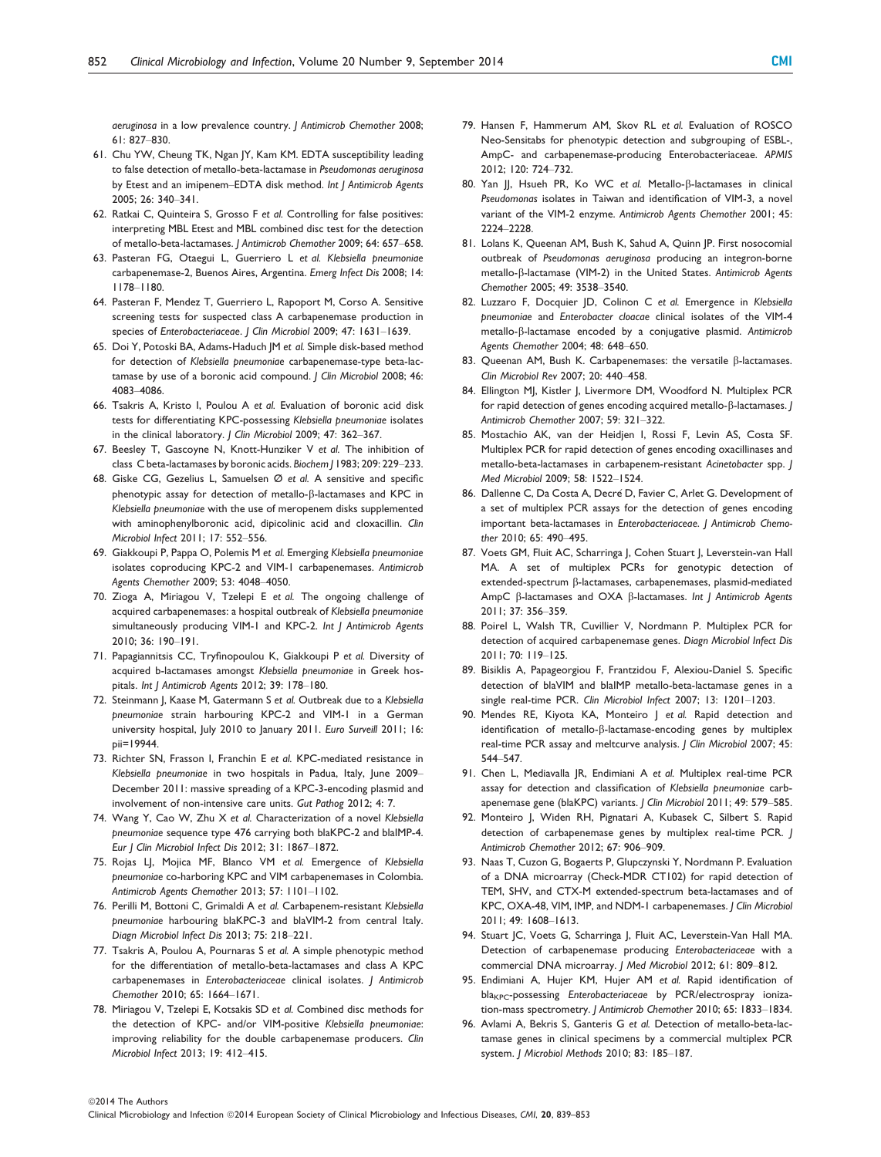aeruginosa in a low prevalence country. J Antimicrob Chemother 2008; 61: 827–830.

- 61. Chu YW, Cheung TK, Ngan JY, Kam KM. EDTA susceptibility leading to false detection of metallo-beta-lactamase in Pseudomonas aeruginosa by Etest and an imipenem–EDTA disk method. Int J Antimicrob Agents 2005; 26: 340–341.
- 62. Ratkai C, Quinteira S, Grosso F et al. Controlling for false positives: interpreting MBL Etest and MBL combined disc test for the detection of metallo-beta-lactamases. J Antimicrob Chemother 2009; 64: 657–658.
- 63. Pasteran FG, Otaegui L, Guerriero L et al. Klebsiella pneumoniae carbapenemase-2, Buenos Aires, Argentina. Emerg Infect Dis 2008; 14: 1178–1180.
- 64. Pasteran F, Mendez T, Guerriero L, Rapoport M, Corso A. Sensitive screening tests for suspected class A carbapenemase production in species of Enterobacteriaceae. | Clin Microbiol 2009; 47: 1631-1639.
- 65. Doi Y, Potoski BA, Adams-Haduch JM et al. Simple disk-based method for detection of Klebsiella pneumoniae carbapenemase-type beta-lactamase by use of a boronic acid compound. J Clin Microbiol 2008; 46: 4083–4086.
- 66. Tsakris A, Kristo I, Poulou A et al. Evaluation of boronic acid disk tests for differentiating KPC-possessing Klebsiella pneumoniae isolates in the clinical laboratory. J Clin Microbiol 2009; 47: 362–367.
- 67. Beesley T, Gascoyne N, Knott-Hunziker V et al. The inhibition of class C beta-lactamases by boronic acids. Biochem J 1983; 209: 229–233.
- 68. Giske CG, Gezelius L, Samuelsen Ø et al. A sensitive and specific phenotypic assay for detection of metallo- $\beta$ -lactamases and KPC in Klebsiella pneumoniae with the use of meropenem disks supplemented with aminophenylboronic acid, dipicolinic acid and cloxacillin. Clin Microbiol Infect 2011; 17: 552–556.
- 69. Giakkoupi P, Pappa O, Polemis M et al. Emerging Klebsiella pneumoniae isolates coproducing KPC-2 and VIM-1 carbapenemases. Antimicrob Agents Chemother 2009; 53: 4048–4050.
- 70. Zioga A, Miriagou V, Tzelepi E et al. The ongoing challenge of acquired carbapenemases: a hospital outbreak of Klebsiella pneumoniae simultaneously producing VIM-1 and KPC-2. Int J Antimicrob Agents 2010; 36: 190–191.
- 71. Papagiannitsis CC, Tryfinopoulou K, Giakkoupi P et al. Diversity of acquired b-lactamases amongst Klebsiella pneumoniae in Greek hospitals. Int J Antimicrob Agents 2012; 39: 178–180.
- 72. Steinmann J, Kaase M, Gatermann S et al. Outbreak due to a Klebsiella pneumoniae strain harbouring KPC-2 and VIM-1 in a German university hospital, July 2010 to January 2011. Euro Surveill 2011; 16: pii=19944.
- 73. Richter SN, Frasson I, Franchin E et al. KPC-mediated resistance in Klebsiella pneumoniae in two hospitals in Padua, Italy, June 2009– December 2011: massive spreading of a KPC-3-encoding plasmid and involvement of non-intensive care units. Gut Pathog 2012; 4: 7.
- 74. Wang Y, Cao W, Zhu X et al. Characterization of a novel Klebsiella pneumoniae sequence type 476 carrying both blaKPC-2 and blaIMP-4. Eur J Clin Microbiol Infect Dis 2012; 31: 1867–1872.
- 75. Rojas LJ, Mojica MF, Blanco VM et al. Emergence of Klebsiella pneumoniae co-harboring KPC and VIM carbapenemases in Colombia. Antimicrob Agents Chemother 2013; 57: 1101–1102.
- 76. Perilli M, Bottoni C, Grimaldi A et al. Carbapenem-resistant Klebsiella pneumoniae harbouring blaKPC-3 and blaVIM-2 from central Italy. Diagn Microbiol Infect Dis 2013; 75: 218–221.
- 77. Tsakris A, Poulou A, Pournaras S et al. A simple phenotypic method for the differentiation of metallo-beta-lactamases and class A KPC carbapenemases in Enterobacteriaceae clinical isolates. J Antimicrob Chemother 2010; 65: 1664–1671.
- 78. Miriagou V, Tzelepi E, Kotsakis SD et al. Combined disc methods for the detection of KPC- and/or VIM-positive Klebsiella pneumoniae: improving reliability for the double carbapenemase producers. Clin Microbiol Infect 2013; 19: 412–415.
- 79. Hansen F, Hammerum AM, Skov RL et al. Evaluation of ROSCO Neo-Sensitabs for phenotypic detection and subgrouping of ESBL-, AmpC- and carbapenemase-producing Enterobacteriaceae. APMIS 2012; 120: 724–732.
- 80. Yan JJ, Hsueh PR, Ko WC et al. Metallo- $\beta$ -lactamases in clinical Pseudomonas isolates in Taiwan and identification of VIM-3, a novel variant of the VIM-2 enzyme. Antimicrob Agents Chemother 2001; 45: 2224–2228.
- 81. Lolans K, Queenan AM, Bush K, Sahud A, Quinn JP. First nosocomial outbreak of Pseudomonas aeruginosa producing an integron-borne metallo-b-lactamase (VIM-2) in the United States. Antimicrob Agents Chemother 2005; 49: 3538–3540.
- 82. Luzzaro F, Docquier JD, Colinon C et al. Emergence in Klebsiella pneumoniae and Enterobacter cloacae clinical isolates of the VIM-4 metallo-ß-lactamase encoded by a conjugative plasmid. Antimicrob Agents Chemother 2004; 48: 648–650.
- 83. Queenan AM, Bush K. Carbapenemases: the versatile  $\beta$ -lactamases. Clin Microbiol Rev 2007; 20: 440–458.
- 84. Ellington MJ, Kistler J, Livermore DM, Woodford N. Multiplex PCR for rapid detection of genes encoding acquired metallo- $\beta$ -lactamases. / Antimicrob Chemother 2007; 59: 321–322.
- 85. Mostachio AK, van der Heidjen I, Rossi F, Levin AS, Costa SF. Multiplex PCR for rapid detection of genes encoding oxacillinases and metallo-beta-lactamases in carbapenem-resistant Acinetobacter spp. J Med Microbiol 2009; 58: 1522–1524.
- 86. Dallenne C, Da Costa A, Decré D, Favier C, Arlet G. Development of a set of multiplex PCR assays for the detection of genes encoding important beta-lactamases in Enterobacteriaceae. J Antimicrob Chemother 2010; 65: 490–495.
- 87. Voets GM, Fluit AC, Scharringa J, Cohen Stuart J, Leverstein-van Hall MA. A set of multiplex PCRs for genotypic detection of extended-spectrum  $\beta$ -lactamases, carbapenemases, plasmid-mediated AmpC  $\beta$ -lactamases and OXA  $\beta$ -lactamases. Int J Antimicrob Agents 2011; 37: 356–359.
- 88. Poirel L, Walsh TR, Cuvillier V, Nordmann P. Multiplex PCR for detection of acquired carbapenemase genes. Diagn Microbiol Infect Dis 2011; 70: 119–125.
- 89. Bisiklis A, Papageorgiou F, Frantzidou F, Alexiou-Daniel S. Specific detection of blaVIM and blaIMP metallo-beta-lactamase genes in a single real-time PCR. Clin Microbiol Infect 2007; 13: 1201–1203.
- 90. Mendes RE, Kiyota KA, Monteiro | et al. Rapid detection and identification of metallo- $\beta$ -lactamase-encoding genes by multiplex real-time PCR assay and meltcurve analysis. *| Clin Microbiol* 2007; 45: 544–547.
- 91. Chen L, Mediavalla JR, Endimiani A et al. Multiplex real-time PCR assay for detection and classification of Klebsiella pneumoniae carbapenemase gene (blaKPC) variants. | Clin Microbiol 2011; 49: 579-585.
- 92. Monteiro J, Widen RH, Pignatari A, Kubasek C, Silbert S. Rapid detection of carbapenemase genes by multiplex real-time PCR. J Antimicrob Chemother 2012; 67: 906–909.
- 93. Naas T, Cuzon G, Bogaerts P, Glupczynski Y, Nordmann P. Evaluation of a DNA microarray (Check-MDR CT102) for rapid detection of TEM, SHV, and CTX-M extended-spectrum beta-lactamases and of KPC, OXA-48, VIM, IMP, and NDM-1 carbapenemases. J Clin Microbiol 2011; 49: 1608–1613.
- 94. Stuart JC, Voets G, Scharringa J, Fluit AC, Leverstein-Van Hall MA. Detection of carbapenemase producing Enterobacteriaceae with a commercial DNA microarray. J Med Microbiol 2012; 61: 809–812.
- 95. Endimiani A, Hujer KM, Hujer AM et al. Rapid identification of bla<sub>KPC</sub>-possessing Enterobacteriaceae by PCR/electrospray ionization-mass spectrometry. J Antimicrob Chemother 2010; 65: 1833–1834.
- 96. Avlami A, Bekris S, Ganteris G et al. Detection of metallo-beta-lactamase genes in clinical specimens by a commercial multiplex PCR system. J Microbiol Methods 2010; 83: 185–187.